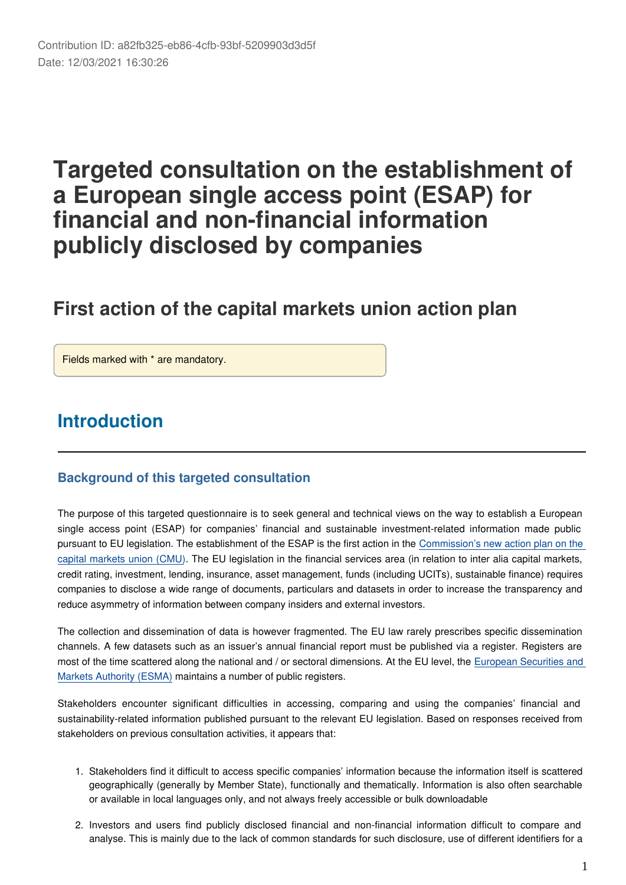# **Targeted consultation on the establishment of a European single access point (ESAP) for financial and non-financial information publicly disclosed by companies**

# **First action of the capital markets union action plan**

Fields marked with \* are mandatory.

# **Introduction**

#### **Background of this targeted consultation**

The purpose of this targeted questionnaire is to seek general and technical views on the way to establish a European single access point (ESAP) for companies' financial and sustainable investment-related information made public pursuant to EU legislation. The establishment of the ESAP is the first action in the [Commission's new action plan on the](https://ec.europa.eu/info/publications/200924-capital-markets-union-action-plan_en)  [capital markets union \(CMU\)](https://ec.europa.eu/info/publications/200924-capital-markets-union-action-plan_en). The EU legislation in the financial services area (in relation to inter alia capital markets, credit rating, investment, lending, insurance, asset management, funds (including UCITs), sustainable finance) requires companies to disclose a wide range of documents, particulars and datasets in order to increase the transparency and reduce asymmetry of information between company insiders and external investors.

The collection and dissemination of data is however fragmented. The EU law rarely prescribes specific dissemination channels. A few datasets such as an issuer's annual financial report must be published via a register. Registers are most of the time scattered along the national and / or sectoral dimensions. At the EU level, the [European Securities and](https://www.esma.europa.eu/)  [Markets Authority \(ESMA\)](https://www.esma.europa.eu/) maintains a number of public registers.

Stakeholders encounter significant difficulties in accessing, comparing and using the companies' financial and sustainability-related information published pursuant to the relevant EU legislation. Based on responses received from stakeholders on previous consultation activities, it appears that:

- 1. Stakeholders find it difficult to access specific companies' information because the information itself is scattered geographically (generally by Member State), functionally and thematically. Information is also often searchable or available in local languages only, and not always freely accessible or bulk downloadable
- 2. Investors and users find publicly disclosed financial and non-financial information difficult to compare and analyse. This is mainly due to the lack of common standards for such disclosure, use of different identifiers for a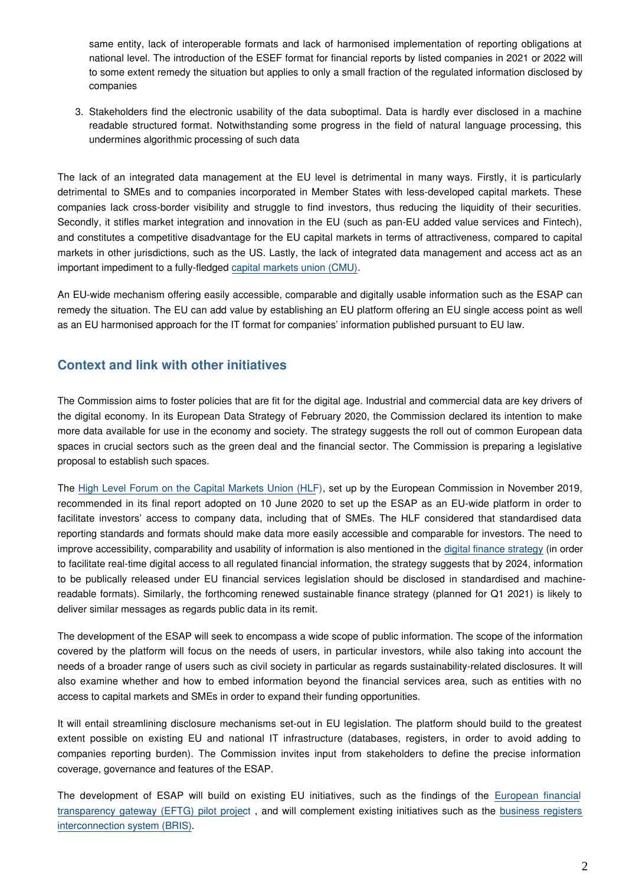same entity, lack of interoperable formats and lack of harmonised implementation of reporting obligations at national level. The introduction of the ESEF format for financial reports by listed companies in 2021 or 2022 will to some extent remedy the situation but applies to only a small fraction of the regulated information disclosed by companies

3. Stakeholders find the electronic usability of the data suboptimal. Data is hardly ever disclosed in a machine readable structured format. Notwithstanding some progress in the field of natural language processing, this undermines algorithmic processing of such data

The lack of an integrated data management at the EU level is detrimental in many ways. Firstly, it is particularly detrimental to SMEs and to companies incorporated in Member States with less-developed capital markets. These companies lack cross-border visibility and struggle to find investors, thus reducing the liquidity of their securities. Secondly, it stifles market integration and innovation in the EU (such as pan-EU added value services and Fintech), and constitutes a competitive disadvantage for the EU capital markets in terms of attractiveness, compared to capital markets in other jurisdictions, such as the US. Lastly, the lack of integrated data management and access act as an important impediment to a fully-fledged [capital markets union \(CMU\)](https://ec.europa.eu/info/business-economy-euro/growth-and-investment/capital-markets-union_en).

An EU-wide mechanism offering easily accessible, comparable and digitally usable information such as the ESAP can remedy the situation. The EU can add value by establishing an EU platform offering an EU single access point as well as an EU harmonised approach for the IT format for companies' information published pursuant to EU law.

#### **Context and link with other initiatives**

The Commission aims to foster policies that are fit for the digital age. Industrial and commercial data are key drivers of the digital economy. In its European Data Strategy of February 2020, the Commission declared its intention to make more data available for use in the economy and society. The strategy suggests the roll out of common European data spaces in crucial sectors such as the green deal and the financial sector. The Commission is preparing a legislative proposal to establish such spaces.

The [High Level Forum on the Capital Markets Union \(HLF](https://ec.europa.eu/info/publications/cmu-high-level-forum_en)), set up by the European Commission in November 2019, recommended in its final report adopted on 10 June 2020 to set up the ESAP as an EU-wide platform in order to facilitate investors' access to company data, including that of SMEs. The HLF considered that standardised data reporting standards and formats should make data more easily accessible and comparable for investors. The need to improve accessibility, comparability and usability of information is also mentioned in the [digital finance strategy](https://ec.europa.eu/info/publications/200924-digital-finance-proposals_en#digital) (in order to facilitate real-time digital access to all regulated financial information, the strategy suggests that by 2024, information to be publically released under EU financial services legislation should be disclosed in standardised and machinereadable formats). Similarly, the forthcoming renewed sustainable finance strategy (planned for Q1 2021) is likely to deliver similar messages as regards public data in its remit.

The development of the ESAP will seek to encompass a wide scope of public information. The scope of the information covered by the platform will focus on the needs of users, in particular investors, while also taking into account the needs of a broader range of users such as civil society in particular as regards sustainability-related disclosures. It will also examine whether and how to embed information beyond the financial services area, such as entities with no access to capital markets and SMEs in order to expand their funding opportunities.

It will entail streamlining disclosure mechanisms set-out in EU legislation. The platform should build to the greatest extent possible on existing EU and national IT infrastructure (databases, registers, in order to avoid adding to companies reporting burden). The Commission invites input from stakeholders to define the precise information coverage, governance and features of the ESAP.

The development of ESAP will build on existing EU initiatives, such as the findings of the [European financial](https://ec.europa.eu/info/business-economy-euro/company-reporting-and-auditing/company-reporting/transparency-requirements-listed-companies_en#eftg) [transparency gateway \(EFTG\) pilot projec](https://ec.europa.eu/info/business-economy-euro/company-reporting-and-auditing/company-reporting/transparency-requirements-listed-companies_en#eftg)t , and will complement existing initiatives such as the [business registers](https://ec.europa.eu/cefdigital/wiki/display/CEFDIGITAL/2017/09/19/Business+Register+Interconnection+System)  [interconnection system \(BRIS\)](https://ec.europa.eu/cefdigital/wiki/display/CEFDIGITAL/2017/09/19/Business+Register+Interconnection+System).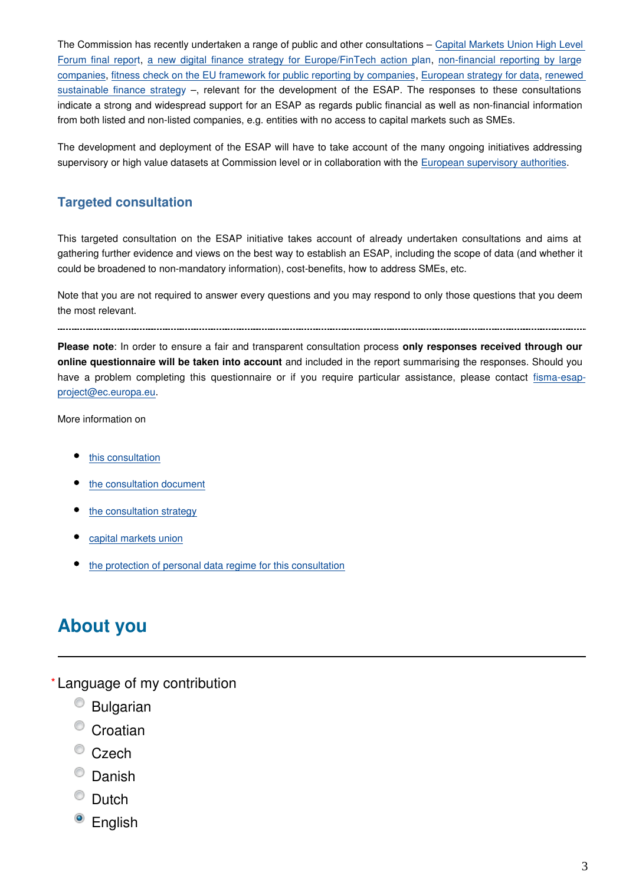The Commission has recently undertaken a range of public and other consultations – [Capital Markets Union High Level](https://ec.europa.eu/info/files/200924-cmu-high-level-forum-feedback-summary-of-responses_en)  [Forum final repor](https://ec.europa.eu/info/files/200924-cmu-high-level-forum-feedback-summary-of-responses_en)t, [a new digital finance strategy for Europe/FinTech action p](https://ec.europa.eu/info/publications/finance-consultations-2020-digital-finance-strategy_en)lan, [non-financial reporting by large](https://ec.europa.eu/info/publications/finance-consultations-2020-non-financial-reporting-directive_en) [companies](https://ec.europa.eu/info/publications/finance-consultations-2020-non-financial-reporting-directive_en), [fitness check on the EU framework for public reporting by companies](https://ec.europa.eu/info/consultations/finance-2018-companies-public-reporting_en), [European strategy for data](https://ec.europa.eu/futurium/en/node/8441), [renewed](https://ec.europa.eu/info/publications/finance-consultations-2020-sustainable-finance-strategy_en)  [sustainable finance strateg](https://ec.europa.eu/info/publications/finance-consultations-2020-sustainable-finance-strategy_en)y –, relevant for the development of the ESAP. The responses to these consultations indicate a strong and widespread support for an ESAP as regards public financial as well as non-financial information from both listed and non-listed companies, e.g. entities with no access to capital markets such as SMEs.

The development and deployment of the ESAP will have to take account of the many ongoing initiatives addressing supervisory or high value datasets at Commission level or in collaboration with the [European supervisory authorities.](https://ec.europa.eu/info/business-economy-euro/banking-and-finance/financial-supervision-and-risk-management/european-system-financial-supervision_en)

#### **Targeted consultation**

This targeted consultation on the ESAP initiative takes account of already undertaken consultations and aims at gathering further evidence and views on the best way to establish an ESAP, including the scope of data (and whether it could be broadened to non-mandatory information), cost-benefits, how to address SMEs, etc.

Note that you are not required to answer every questions and you may respond to only those questions that you deem the most relevant.

**Please note**: In order to ensure a fair and transparent consultation process **only responses received through our online questionnaire will be taken into account** and included in the report summarising the responses. Should you have a problem completing this questionnaire or if you require particular assistance, please contact fisma-esapproject@ec.europa.eu.

More information on

- [this consultation](https://ec.europa.eu/info/publications/finance-consultations-2021-european-single-access-point_en)
- [the consultation document](https://ec.europa.eu/info/files/2021-european-single-access-point-consultation-document_en)
- [the consultation strategy](https://ec.europa.eu/info/files/2021-european-single-access-point-consultation-strategy_en)
- [capital markets union](https://ec.europa.eu/info/business-economy-euro/growth-and-investment/capital-markets-union_en)
- [the protection of personal data regime for this consultation](https://ec.europa.eu/info/files/2021-european-single-access-point-specific-privacy-statement_en)

#### **About you**

- Language of my contribution **\***
	- Bulgarian
	- <sup>o</sup> Croatian
	- $\bullet$  Czech
	- <sup>©</sup> Danish
	- $\bullet$  Dutch
	- <sup>O</sup> English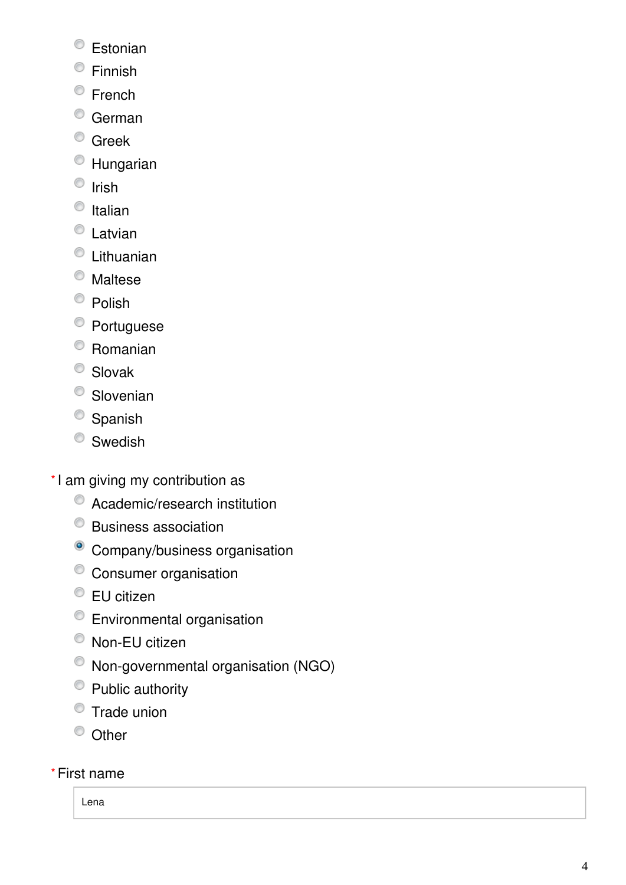- <sup>©</sup> Estonian
- Finnish
- <sup>©</sup> French
- <sup>O</sup> German
- <sup>O</sup> Greek
- Hungarian
- $\bullet$  Irish
- $\bullet$  Italian
- Latvian
- Lithuanian
- Maltese
- <sup>O</sup> Polish
- <sup>O</sup> Portuguese
- Romanian
- <sup>O</sup> Slovak
- <sup>O</sup> Slovenian
- <sup>O</sup> Spanish
- <sup>O</sup> Swedish
- \*I am giving my contribution as
	- Academic/research institution
	- Business association
	- <sup>o</sup> Company/business organisation
	- Consumer organisation
	- EU citizen
	- Environmental organisation
	- Non-EU citizen
	- Non-governmental organisation (NGO)
	- <sup>O</sup> Public authority
	- Trade union
	- <sup>O</sup> Other

#### First name **\***

Lena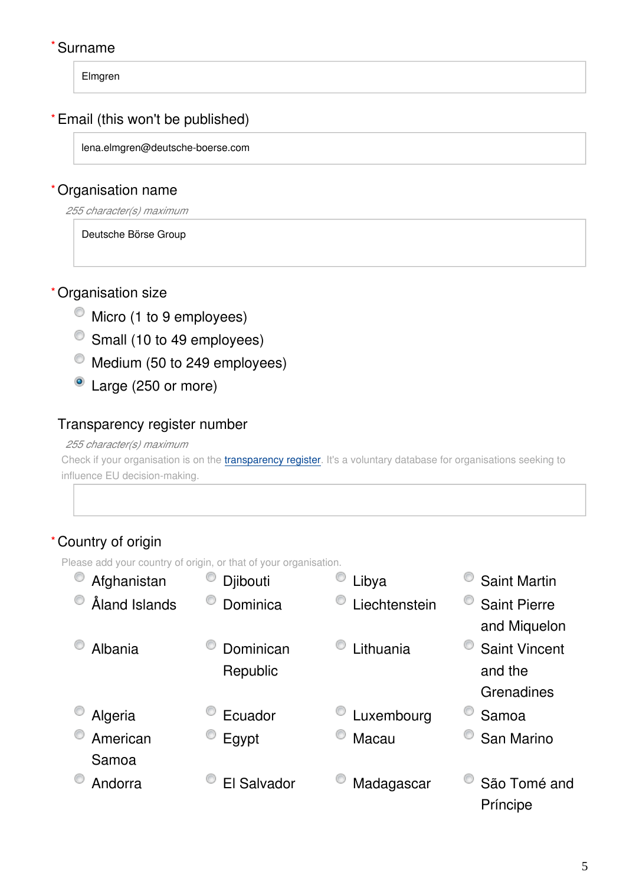#### Surname **\***

Elmgren

#### Email (this won't be published) **\***

lena.elmgren@deutsche-boerse.com

#### Organisation name **\***

*255 character(s) maximum*

Deutsche Börse Group

#### Organisation size **\***

- $\bullet$  Micro (1 to 9 employees)
- <sup>O</sup> Small (10 to 49 employees)
- $\bullet$  Medium (50 to 249 employees)
- Large (250 or more)

#### Transparency register number

#### *255 character(s) maximum*

Check if your organisation is on the [transparency register](http://ec.europa.eu/transparencyregister/public/homePage.do?redir=false&locale=en). It's a voluntary database for organisations seeking to influence EU decision-making.

#### Country of origin **\***

Please add your country of origin, or that of your organisation.

| Afghanistan   | Djibouti    | Libya         | <b>Saint Martin</b>  |
|---------------|-------------|---------------|----------------------|
| Åland Islands | Dominica    | Liechtenstein | <b>Saint Pierre</b>  |
|               |             |               | and Miquelon         |
| Albania       | Dominican   | Lithuania     | <b>Saint Vincent</b> |
|               | Republic    |               | and the              |
|               |             |               | Grenadines           |
| Algeria       | Ecuador     | Luxembourg    | Samoa                |
| American      | Egypt       | Macau         | San Marino           |
| Samoa         |             |               |                      |
| Andorra       | El Salvador | Madagascar    | São Tomé and         |
|               |             |               | Príncipe             |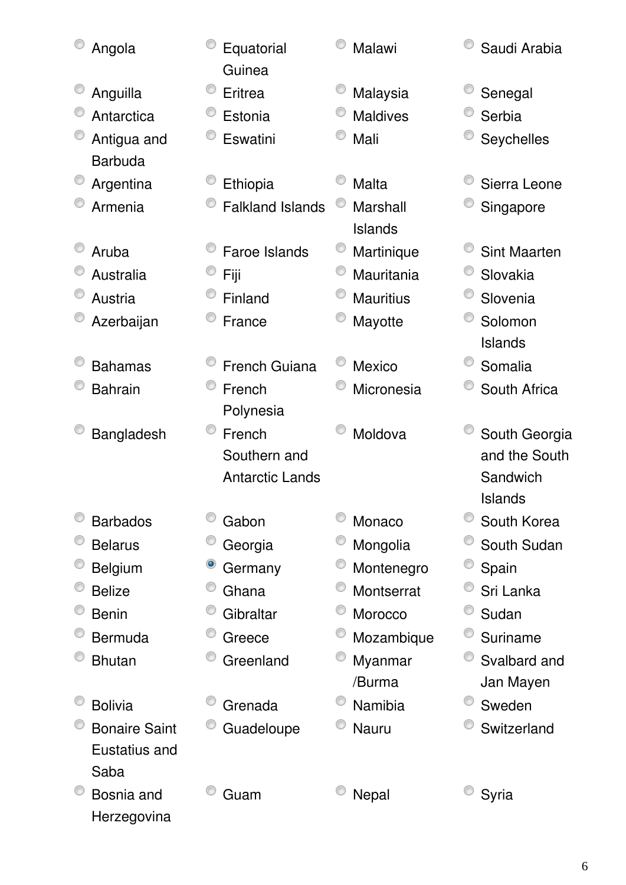| Angola               |   | Equatorial<br>Guinea    | Malawi           | Saudi Arabia        |
|----------------------|---|-------------------------|------------------|---------------------|
| Anguilla             |   | Eritrea                 | Malaysia         | Senegal             |
| Antarctica           |   | Estonia                 | <b>Maldives</b>  | Serbia              |
| Antigua and          |   | Eswatini                | Mali             | Seychelles          |
| <b>Barbuda</b>       |   |                         |                  |                     |
| Argentina            |   | Ethiopia                | Malta            | Sierra Leone        |
| Armenia              |   | <b>Falkland Islands</b> | Marshall         | Singapore           |
|                      |   |                         | Islands          |                     |
| Aruba                |   | <b>Faroe Islands</b>    | Martinique       | <b>Sint Maarten</b> |
| Australia            |   | Fiji                    | Mauritania       | Slovakia            |
| Austria              |   | Finland                 | <b>Mauritius</b> | Slovenia            |
| Azerbaijan           |   | France                  | Mayotte          | Solomon             |
|                      |   |                         |                  | <b>Islands</b>      |
| <b>Bahamas</b>       |   | French Guiana           | <b>Mexico</b>    | Somalia             |
| <b>Bahrain</b>       |   | French                  | Micronesia       | South Africa        |
|                      |   | Polynesia               |                  |                     |
| Bangladesh           |   | French                  | Moldova          | South Georgia       |
|                      |   | Southern and            |                  | and the South       |
|                      |   | <b>Antarctic Lands</b>  |                  | Sandwich            |
|                      |   |                         |                  | <b>Islands</b>      |
| <b>Barbados</b>      |   | Gabon                   | Monaco           | South Korea         |
| <b>Belarus</b>       |   | Georgia                 | Mongolia         | South Sudan         |
| Belgium              | ۱ | Germany                 | Montenegro       | Spain               |
| <b>Belize</b>        |   | Ghana                   | Montserrat       | Sri Lanka           |
| <b>Benin</b>         |   | Gibraltar               | Morocco          | Sudan               |
| Bermuda              |   | Greece                  | Mozambique       | Suriname            |
| <b>Bhutan</b>        |   | Greenland               | Myanmar          | Svalbard and        |
|                      |   |                         | /Burma           | Jan Mayen           |
| <b>Bolivia</b>       |   | Grenada                 | Namibia          | Sweden              |
| <b>Bonaire Saint</b> |   | Guadeloupe              | Nauru            | Switzerland         |
| Eustatius and        |   |                         |                  |                     |
| Saba                 |   |                         |                  |                     |
| Bosnia and           |   | Guam                    | Nepal            | Syria               |
| Herzegovina          |   |                         |                  |                     |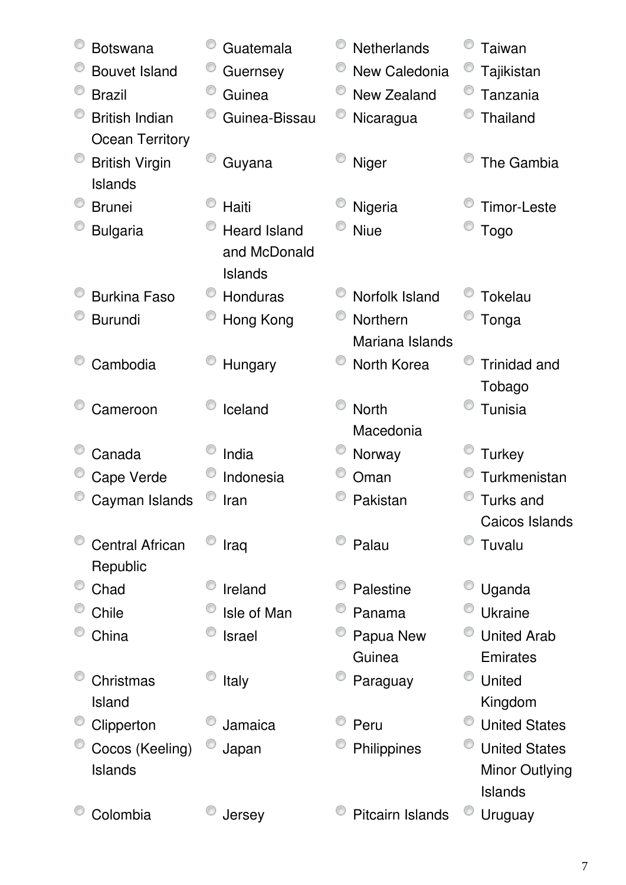| <b>Botswana</b>        | Guatemala           | <b>Netherlands</b> | Taiwan               |
|------------------------|---------------------|--------------------|----------------------|
| <b>Bouvet Island</b>   | Guernsey            | New Caledonia      | Tajikistan           |
| <b>Brazil</b>          | O<br>Guinea         | New Zealand        | Tanzania             |
| <b>British Indian</b>  | Guinea-Bissau       | Nicaragua          | Thailand             |
| <b>Ocean Territory</b> |                     |                    |                      |
| <b>British Virgin</b>  | Guyana              | Niger              | The Gambia           |
| Islands                |                     |                    |                      |
| <b>Brunei</b>          | Haiti               | Nigeria            | <b>Timor-Leste</b>   |
| <b>Bulgaria</b>        | <b>Heard Island</b> | <b>Niue</b>        | <b>Togo</b>          |
|                        | and McDonald        |                    |                      |
|                        | <b>Islands</b>      |                    |                      |
| <b>Burkina Faso</b>    | <b>Honduras</b>     | Norfolk Island     | Tokelau              |
| <b>Burundi</b>         | Hong Kong           | Northern           | Tonga                |
|                        |                     | Mariana Islands    |                      |
| Cambodia               | Hungary             | North Korea        | <b>Trinidad and</b>  |
|                        |                     |                    | Tobago               |
| Cameroon               | Iceland             | <b>North</b>       | Tunisia              |
|                        |                     | Macedonia          |                      |
| Canada                 | India               | Norway             | <b>Turkey</b>        |
| Cape Verde             | Indonesia           | Oman               | Turkmenistan         |
| Cayman Islands         | Iran                | Pakistan           | Turks and            |
|                        |                     |                    | Caicos Islands       |
| <b>Central African</b> | Iraq                | Palau              | Tuvalu               |
| Republic               |                     |                    |                      |
| Chad                   | Ireland             | Palestine          | Uganda               |
| Chile                  | Isle of Man         | Panama             | Ukraine              |
| China                  | Israel              | Papua New          | <b>United Arab</b>   |
|                        |                     | Guinea             | Emirates             |
| Christmas              | Italy               | Paraguay           | United               |
| Island                 |                     |                    | Kingdom              |
| Clipperton             | Jamaica             | Peru               | <b>United States</b> |
| Cocos (Keeling)        | Japan               | Philippines        | <b>United States</b> |
| Islands                |                     |                    | Minor Outlying       |
|                        |                     |                    | Islands              |
| Colombia               | Jersey              | Pitcairn Islands   | Uruguay              |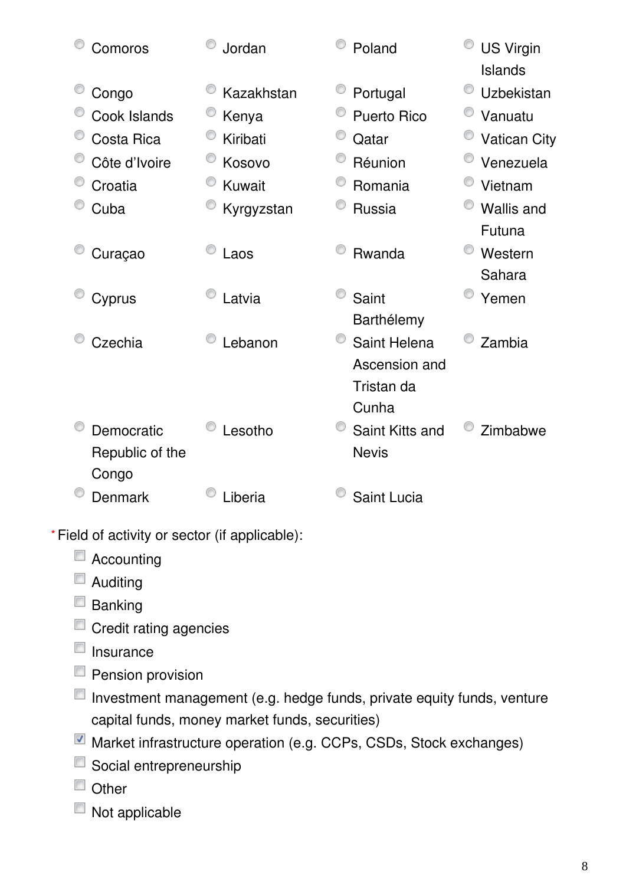| Comoros         | Jordan     | Poland             | <b>US Virgin</b><br>Islands |
|-----------------|------------|--------------------|-----------------------------|
| Congo           | Kazakhstan | Portugal           | Uzbekistan                  |
| Cook Islands    | Kenya      | <b>Puerto Rico</b> | Vanuatu                     |
| Costa Rica      | Kiribati   | Qatar              | <b>Vatican City</b>         |
| Côte d'Ivoire   | Kosovo     | Réunion            | Venezuela                   |
| Croatia         | Kuwait     | Romania            | Vietnam                     |
| Cuba            | Kyrgyzstan | <b>Russia</b>      | <b>Wallis and</b>           |
|                 |            |                    | Futuna                      |
| Curaçao         | Laos       | Rwanda             | Western                     |
|                 |            |                    | Sahara                      |
| Cyprus          | Latvia     | Saint              | Yemen                       |
|                 |            | Barthélemy         |                             |
| Czechia         | Lebanon    | Saint Helena       | Zambia                      |
|                 |            | Ascension and      |                             |
|                 |            | Tristan da         |                             |
|                 |            | Cunha              |                             |
| Democratic      | Lesotho    | Saint Kitts and    | Zimbabwe                    |
| Republic of the |            | <b>Nevis</b>       |                             |
| Congo           |            |                    |                             |
| <b>Denmark</b>  | Liberia    | Saint Lucia        |                             |

Field of activity or sector (if applicable): **\***

- Accounting
- **Auditing**
- **Banking**
- Credit rating agencies
- $\Box$  Insurance
- **Pension provision**
- Investment management (e.g. hedge funds, private equity funds, venture capital funds, money market funds, securities)
- Market infrastructure operation (e.g. CCPs, CSDs, Stock exchanges)
- Social entrepreneurship
- Other
- $\blacksquare$  Not applicable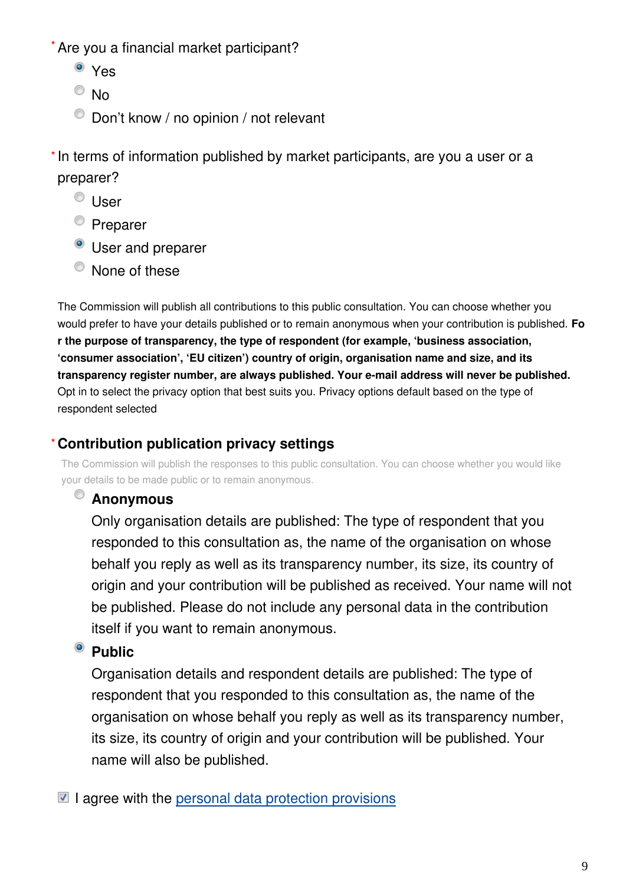Are you a financial market participant? **\***

- <sup>o</sup> Yes
- $\odot$  No
- $\bullet$  Don't know / no opinion / not relevant

\* In terms of information published by market participants, are you a user or a preparer?

- <sup>©</sup> User
- <sup>O</sup> Preparer
- **O** User and preparer
- $\bullet$  None of these

The Commission will publish all contributions to this public consultation. You can choose whether you would prefer to have your details published or to remain anonymous when your contribution is published. **Fo r the purpose of transparency, the type of respondent (for example, 'business association, 'consumer association', 'EU citizen') country of origin, organisation name and size, and its transparency register number, are always published. Your e-mail address will never be published.** Opt in to select the privacy option that best suits you. Privacy options default based on the type of respondent selected

#### **Contribution publication privacy settings \***

The Commission will publish the responses to this public consultation. You can choose whether you would like your details to be made public or to remain anonymous.

#### **Anonymous**

Only organisation details are published: The type of respondent that you responded to this consultation as, the name of the organisation on whose behalf you reply as well as its transparency number, its size, its country of origin and your contribution will be published as received. Your name will not be published. Please do not include any personal data in the contribution itself if you want to remain anonymous.

#### <sup>o</sup> Public

Organisation details and respondent details are published: The type of respondent that you responded to this consultation as, the name of the organisation on whose behalf you reply as well as its transparency number, its size, its country of origin and your contribution will be published. Your name will also be published.

 $\blacksquare$  I agree with the [personal data protection provisions](https://ec.europa.eu/info/law/better-regulation/specific-privacy-statement)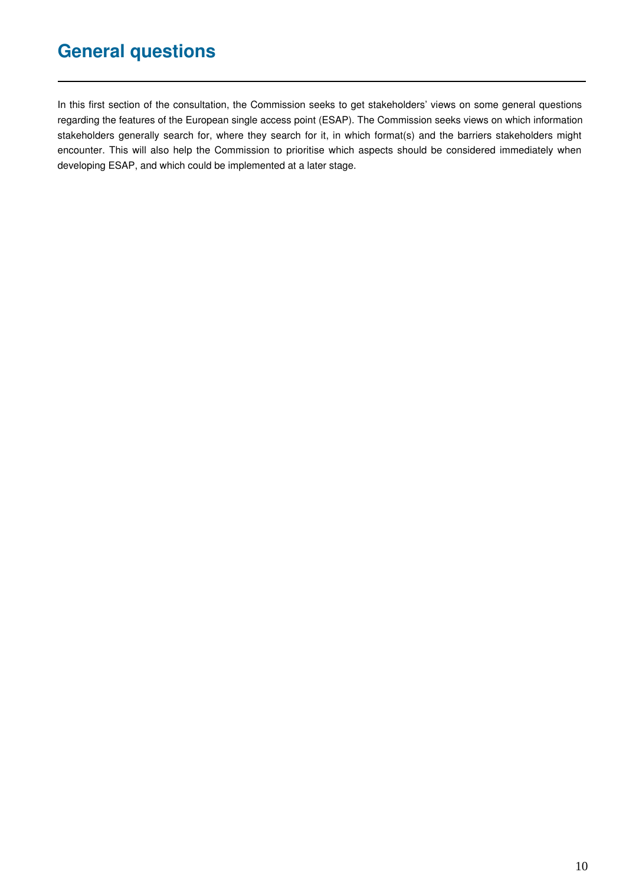# **General questions**

In this first section of the consultation, the Commission seeks to get stakeholders' views on some general questions regarding the features of the European single access point (ESAP). The Commission seeks views on which information stakeholders generally search for, where they search for it, in which format(s) and the barriers stakeholders might encounter. This will also help the Commission to prioritise which aspects should be considered immediately when developing ESAP, and which could be implemented at a later stage.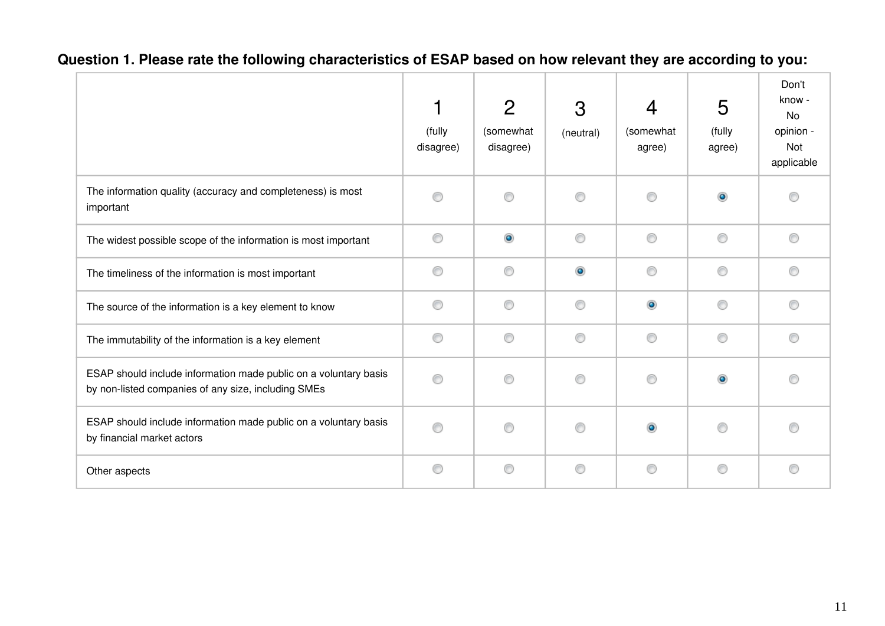|                                                                                                                         | (fully<br>disagree) | $\overline{2}$<br>(somewhat<br>disagree) | 3<br>(neutral) | $\overline{4}$<br>(somewhat<br>agree) | 5<br>(fully<br>agree) | Don't<br>know -<br>No<br>opinion -<br>Not<br>applicable |
|-------------------------------------------------------------------------------------------------------------------------|---------------------|------------------------------------------|----------------|---------------------------------------|-----------------------|---------------------------------------------------------|
| The information quality (accuracy and completeness) is most<br>important                                                | ∩                   | ⋒                                        | ⊙              | ⋒                                     | $\bullet$             |                                                         |
| The widest possible scope of the information is most important                                                          | 0                   | $\bullet$                                | 0              | 0                                     | 0                     | ⊙                                                       |
| The timeliness of the information is most important                                                                     | 0                   | 0                                        | $\circledcirc$ | 0                                     | 0                     | ⊙                                                       |
| The source of the information is a key element to know                                                                  | 0                   | 0                                        | 0              | $\bullet$                             | 0                     | ∩                                                       |
| The immutability of the information is a key element                                                                    | ⊙                   | 0                                        | 0              | 0                                     | 0                     | ∩                                                       |
| ESAP should include information made public on a voluntary basis<br>by non-listed companies of any size, including SMEs | ⊙                   | ⊙                                        | 0              | 0                                     | $\circledcirc$        |                                                         |
| ESAP should include information made public on a voluntary basis<br>by financial market actors                          | 0                   | ⊙                                        | ⊙              | $\bullet$                             | ⊙                     |                                                         |
| Other aspects                                                                                                           | 0                   | ◉                                        | ⊙              | 0                                     | ⊙                     | ∩                                                       |

#### **Question 1. Please rate the following characteristics of ESAP based on how relevant they are according to you:**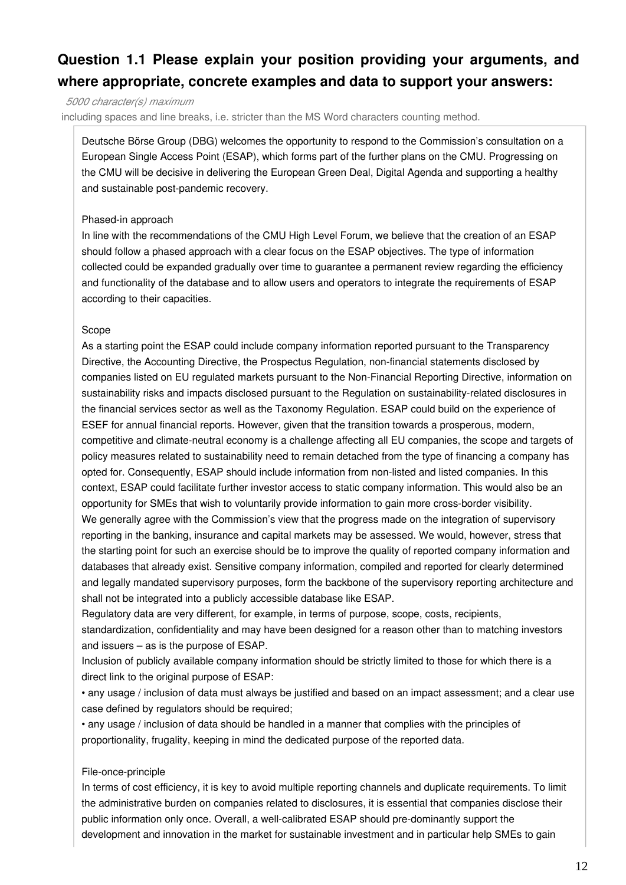#### **Question 1.1 Please explain your position providing your arguments, and where appropriate, concrete examples and data to support your answers:**

*5000 character(s) maximum*

including spaces and line breaks, i.e. stricter than the MS Word characters counting method.

Deutsche Börse Group (DBG) welcomes the opportunity to respond to the Commission's consultation on a European Single Access Point (ESAP), which forms part of the further plans on the CMU. Progressing on the CMU will be decisive in delivering the European Green Deal, Digital Agenda and supporting a healthy and sustainable post-pandemic recovery.

#### Phased-in approach

In line with the recommendations of the CMU High Level Forum, we believe that the creation of an ESAP should follow a phased approach with a clear focus on the ESAP objectives. The type of information collected could be expanded gradually over time to guarantee a permanent review regarding the efficiency and functionality of the database and to allow users and operators to integrate the requirements of ESAP according to their capacities.

#### Scope

As a starting point the ESAP could include company information reported pursuant to the Transparency Directive, the Accounting Directive, the Prospectus Regulation, non-financial statements disclosed by companies listed on EU regulated markets pursuant to the Non-Financial Reporting Directive, information on sustainability risks and impacts disclosed pursuant to the Regulation on sustainability-related disclosures in the financial services sector as well as the Taxonomy Regulation. ESAP could build on the experience of ESEF for annual financial reports. However, given that the transition towards a prosperous, modern, competitive and climate-neutral economy is a challenge affecting all EU companies, the scope and targets of policy measures related to sustainability need to remain detached from the type of financing a company has opted for. Consequently, ESAP should include information from non-listed and listed companies. In this context, ESAP could facilitate further investor access to static company information. This would also be an opportunity for SMEs that wish to voluntarily provide information to gain more cross-border visibility. We generally agree with the Commission's view that the progress made on the integration of supervisory reporting in the banking, insurance and capital markets may be assessed. We would, however, stress that the starting point for such an exercise should be to improve the quality of reported company information and databases that already exist. Sensitive company information, compiled and reported for clearly determined and legally mandated supervisory purposes, form the backbone of the supervisory reporting architecture and shall not be integrated into a publicly accessible database like ESAP.

Regulatory data are very different, for example, in terms of purpose, scope, costs, recipients,

standardization, confidentiality and may have been designed for a reason other than to matching investors and issuers – as is the purpose of ESAP.

Inclusion of publicly available company information should be strictly limited to those for which there is a direct link to the original purpose of ESAP:

• any usage / inclusion of data must always be justified and based on an impact assessment; and a clear use case defined by regulators should be required;

• any usage / inclusion of data should be handled in a manner that complies with the principles of proportionality, frugality, keeping in mind the dedicated purpose of the reported data.

#### File-once-principle

In terms of cost efficiency, it is key to avoid multiple reporting channels and duplicate requirements. To limit the administrative burden on companies related to disclosures, it is essential that companies disclose their public information only once. Overall, a well-calibrated ESAP should pre-dominantly support the development and innovation in the market for sustainable investment and in particular help SMEs to gain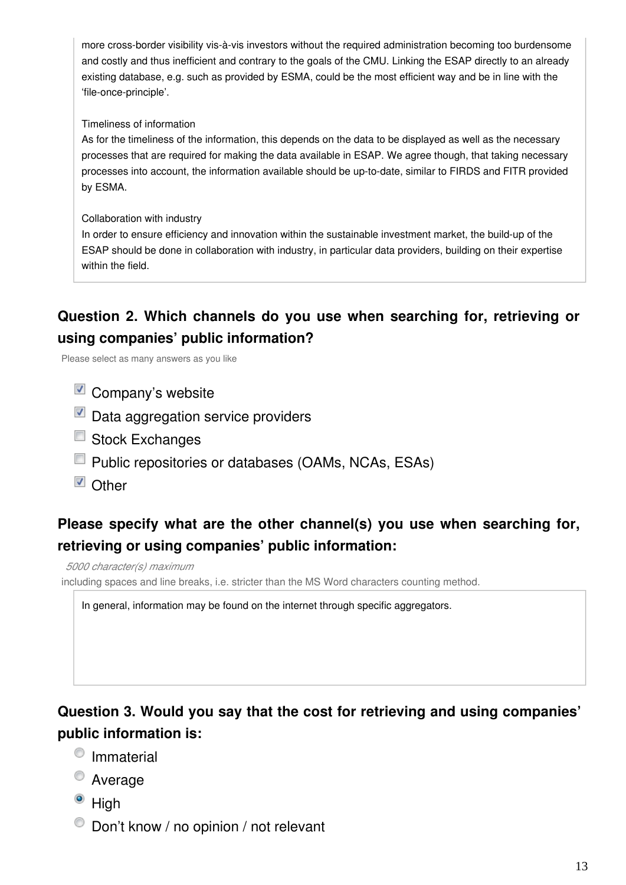more cross-border visibility vis-à-vis investors without the required administration becoming too burdensome and costly and thus inefficient and contrary to the goals of the CMU. Linking the ESAP directly to an already existing database, e.g. such as provided by ESMA, could be the most efficient way and be in line with the 'file-once-principle'.

#### Timeliness of information

As for the timeliness of the information, this depends on the data to be displayed as well as the necessary processes that are required for making the data available in ESAP. We agree though, that taking necessary processes into account, the information available should be up-to-date, similar to FIRDS and FITR provided by ESMA.

#### Collaboration with industry

In order to ensure efficiency and innovation within the sustainable investment market, the build-up of the ESAP should be done in collaboration with industry, in particular data providers, building on their expertise within the field.

#### **Question 2. Which channels do you use when searching for, retrieving or using companies' public information?**

Please select as many answers as you like

- $\blacksquare$  Company's website
- Data aggregation service providers
- Stock Exchanges
- **Public repositories or databases (OAMs, NCAs, ESAs)**
- Other

#### **Please specify what are the other channel(s) you use when searching for, retrieving or using companies' public information:**

*5000 character(s) maximum*

including spaces and line breaks, i.e. stricter than the MS Word characters counting method.

In general, information may be found on the internet through specific aggregators.

#### **Question 3. Would you say that the cost for retrieving and using companies' public information is:**

- <sup>O</sup> Immaterial
- Average
- $\bullet$  High
- $\bullet$  Don't know / no opinion / not relevant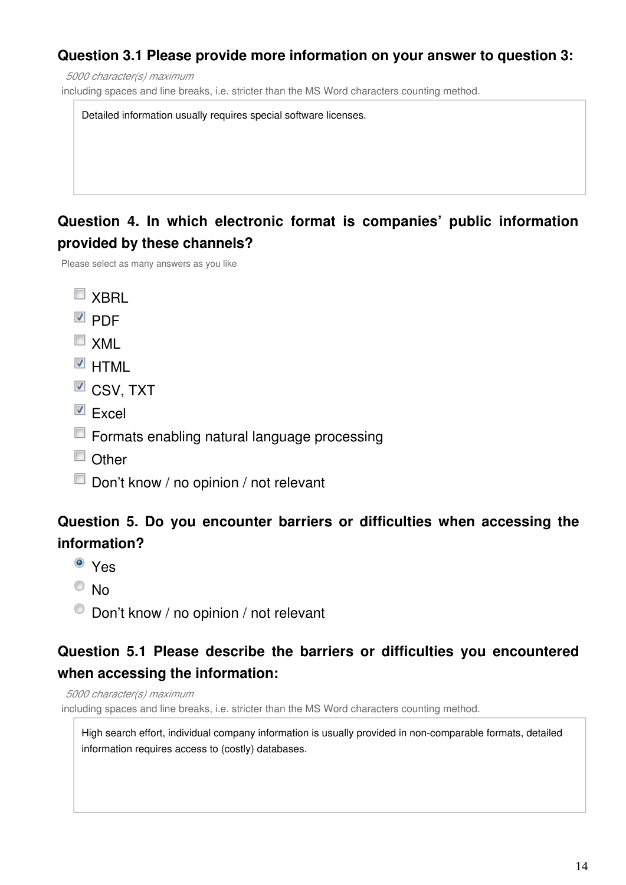#### **Question 3.1 Please provide more information on your answer to question 3:**

*5000 character(s) maximum*

including spaces and line breaks, i.e. stricter than the MS Word characters counting method.

Detailed information usually requires special software licenses.

#### **Question 4. In which electronic format is companies' public information provided by these channels?**

Please select as many answers as you like

- $\blacksquare$  XBRI
- **DDF**
- $\Box$  XML
- $\blacksquare$  HTML
- $\blacksquare$  CSV, TXT
- $\blacksquare$  Excel
- **Formats enabling natural language processing**
- $\Box$  Other
- Don't know / no opinion / not relevant

#### **Question 5. Do you encounter barriers or difficulties when accessing the information?**

- Yes
- $\odot$  No
- $\bullet$  Don't know / no opinion / not relevant

#### **Question 5.1 Please describe the barriers or difficulties you encountered when accessing the information:**

*5000 character(s) maximum*

including spaces and line breaks, i.e. stricter than the MS Word characters counting method.

High search effort, individual company information is usually provided in non-comparable formats, detailed information requires access to (costly) databases.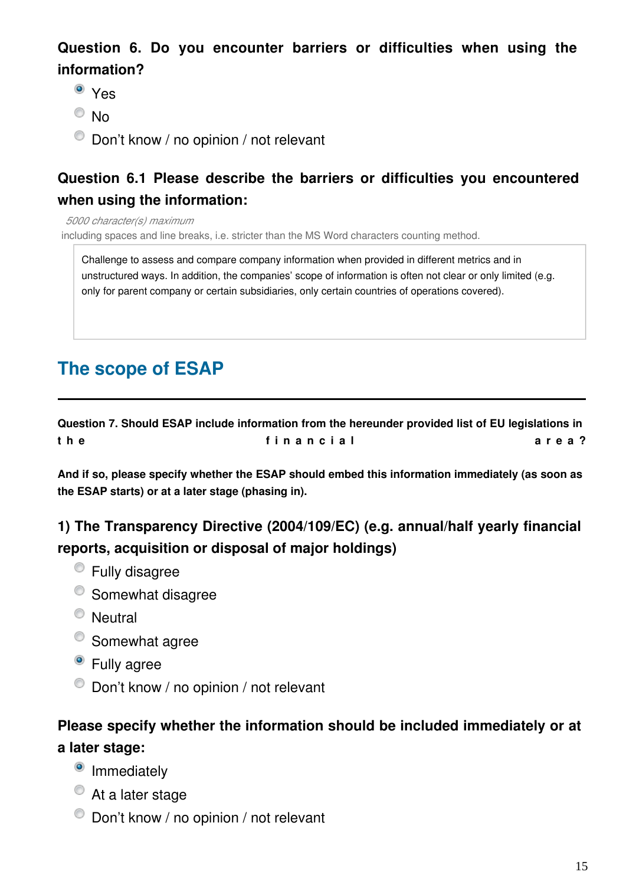#### **Question 6. Do you encounter barriers or difficulties when using the information?**

- <sup>o</sup> Yes
- $\odot$  No
- $\bullet$  Don't know / no opinion / not relevant

#### **Question 6.1 Please describe the barriers or difficulties you encountered when using the information:**

*5000 character(s) maximum*

including spaces and line breaks, i.e. stricter than the MS Word characters counting method.

Challenge to assess and compare company information when provided in different metrics and in unstructured ways. In addition, the companies' scope of information is often not clear or only limited (e.g. only for parent company or certain subsidiaries, only certain countries of operations covered).

# **The scope of ESAP**

**Question 7. Should ESAP include information from the hereunder provided list of EU legislations in**  t h e fin a n c i al **d i a l a r e a ?** 

**And if so, please specify whether the ESAP should embed this information immediately (as soon as the ESAP starts) or at a later stage (phasing in).**

#### **1) The Transparency Directive (2004/109/EC) (e.g. annual/half yearly financial reports, acquisition or disposal of major holdings)**

- Fully disagree
- <sup>O</sup> Somewhat disagree
- Neutral
- Somewhat agree
- <sup>o</sup> Fully agree
- $\bullet$  Don't know / no opinion / not relevant

#### **Please specify whether the information should be included immediately or at a later stage:**

- <sup>o</sup> Immediately
- At a later stage
- $\bullet$  Don't know / no opinion / not relevant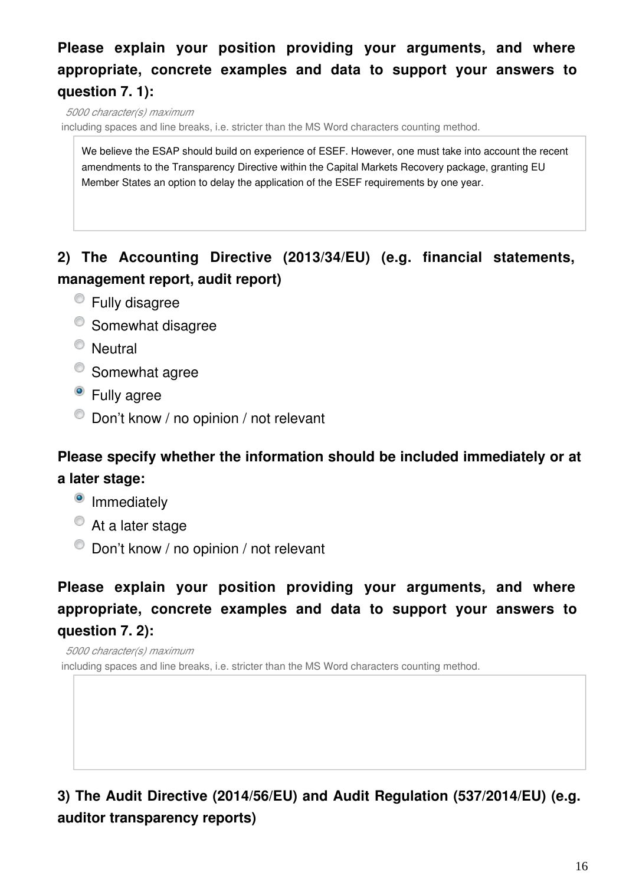## **Please explain your position providing your arguments, and where appropriate, concrete examples and data to support your answers to question 7. 1):**

*5000 character(s) maximum*

including spaces and line breaks, i.e. stricter than the MS Word characters counting method.

We believe the ESAP should build on experience of ESEF. However, one must take into account the recent amendments to the Transparency Directive within the Capital Markets Recovery package, granting EU Member States an option to delay the application of the ESEF requirements by one year.

#### **2) The Accounting Directive (2013/34/EU) (e.g. financial statements, management report, audit report)**

- Fully disagree
- <sup>o</sup> Somewhat disagree
- <sup>O</sup> Neutral
- Somewhat agree
- Fully agree
- $\bullet$  Don't know / no opinion / not relevant

#### **Please specify whether the information should be included immediately or at a later stage:**

- <sup>o</sup> Immediately
- At a later stage
- $\bullet$  Don't know / no opinion / not relevant

## **Please explain your position providing your arguments, and where appropriate, concrete examples and data to support your answers to question 7. 2):**

*5000 character(s) maximum* including spaces and line breaks, i.e. stricter than the MS Word characters counting method.

#### **3) The Audit Directive (2014/56/EU) and Audit Regulation (537/2014/EU) (e.g. auditor transparency reports)**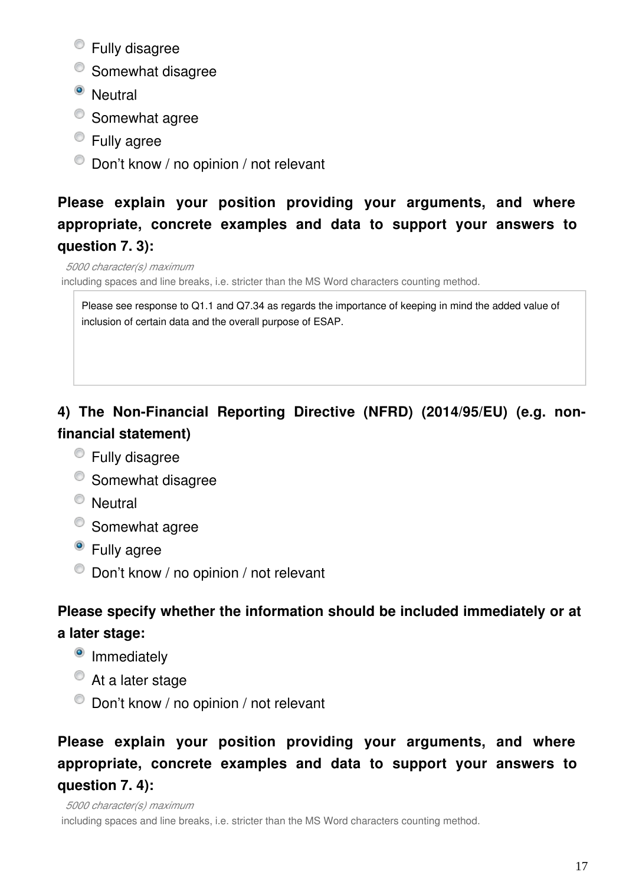- Fully disagree
- <sup>O</sup> Somewhat disagree
- <sup>o</sup> Neutral
- Somewhat agree
- **Eully agree**
- $\bullet$  Don't know / no opinion / not relevant

# **Please explain your position providing your arguments, and where appropriate, concrete examples and data to support your answers to question 7. 3):**

*5000 character(s) maximum*

including spaces and line breaks, i.e. stricter than the MS Word characters counting method.

Please see response to Q1.1 and Q7.34 as regards the importance of keeping in mind the added value of inclusion of certain data and the overall purpose of ESAP.

# **4) The Non-Financial Reporting Directive (NFRD) (2014/95/EU) (e.g. nonfinancial statement)**

- Fully disagree
- <sup>O</sup> Somewhat disagree
- <sup>O</sup> Neutral
- Somewhat agree
- Fully agree
- $\bullet$  Don't know / no opinion / not relevant

# **Please specify whether the information should be included immediately or at a later stage:**

- <sup>o</sup> Immediately
- At a later stage
- $\bullet$  Don't know / no opinion / not relevant

# **Please explain your position providing your arguments, and where appropriate, concrete examples and data to support your answers to question 7. 4):**

*5000 character(s) maximum* including spaces and line breaks, i.e. stricter than the MS Word characters counting method.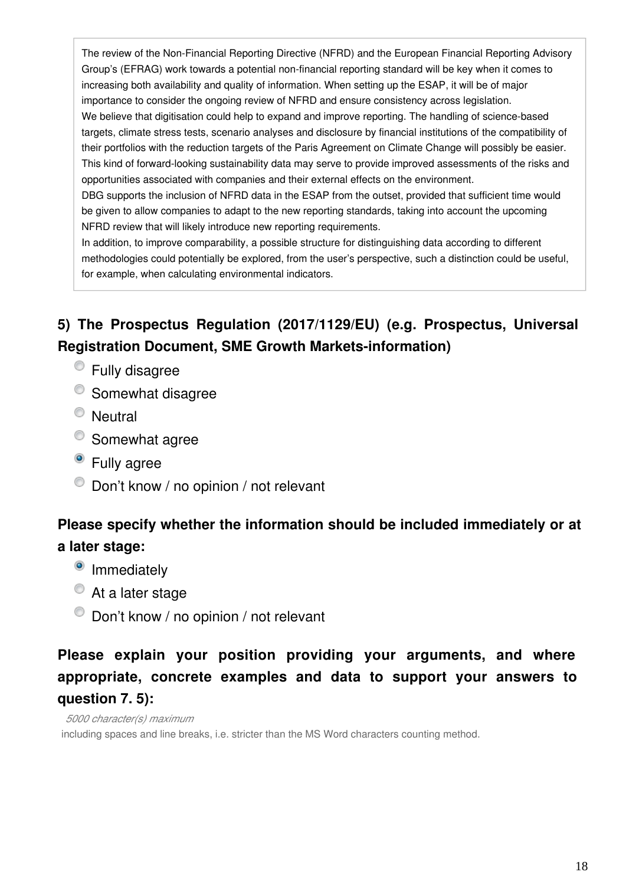The review of the Non-Financial Reporting Directive (NFRD) and the European Financial Reporting Advisory Group's (EFRAG) work towards a potential non-financial reporting standard will be key when it comes to increasing both availability and quality of information. When setting up the ESAP, it will be of major importance to consider the ongoing review of NFRD and ensure consistency across legislation. We believe that digitisation could help to expand and improve reporting. The handling of science-based targets, climate stress tests, scenario analyses and disclosure by financial institutions of the compatibility of their portfolios with the reduction targets of the Paris Agreement on Climate Change will possibly be easier. This kind of forward-looking sustainability data may serve to provide improved assessments of the risks and opportunities associated with companies and their external effects on the environment. DBG supports the inclusion of NFRD data in the ESAP from the outset, provided that sufficient time would be given to allow companies to adapt to the new reporting standards, taking into account the upcoming

NFRD review that will likely introduce new reporting requirements.

In addition, to improve comparability, a possible structure for distinguishing data according to different methodologies could potentially be explored, from the user's perspective, such a distinction could be useful, for example, when calculating environmental indicators.

## **5) The Prospectus Regulation (2017/1129/EU) (e.g. Prospectus, Universal Registration Document, SME Growth Markets-information)**

- Fully disagree
- <sup>o</sup> Somewhat disagree
- <sup>O</sup> Neutral
- Somewhat agree
- Fully agree
- $\bullet$  Don't know / no opinion / not relevant

#### **Please specify whether the information should be included immediately or at a later stage:**

- <sup>o</sup> Immediately
- At a later stage
- $\bullet$  Don't know / no opinion / not relevant

# **Please explain your position providing your arguments, and where appropriate, concrete examples and data to support your answers to question 7. 5):**

*5000 character(s) maximum* including spaces and line breaks, i.e. stricter than the MS Word characters counting method.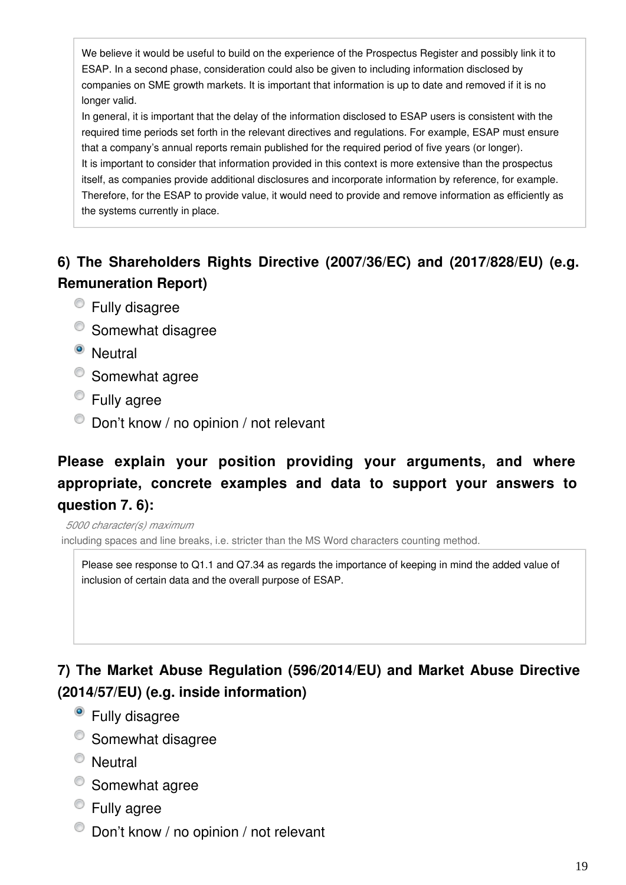We believe it would be useful to build on the experience of the Prospectus Register and possibly link it to ESAP. In a second phase, consideration could also be given to including information disclosed by companies on SME growth markets. It is important that information is up to date and removed if it is no longer valid.

In general, it is important that the delay of the information disclosed to ESAP users is consistent with the required time periods set forth in the relevant directives and regulations. For example, ESAP must ensure that a company's annual reports remain published for the required period of five years (or longer). It is important to consider that information provided in this context is more extensive than the prospectus itself, as companies provide additional disclosures and incorporate information by reference, for example. Therefore, for the ESAP to provide value, it would need to provide and remove information as efficiently as the systems currently in place.

# **6) The Shareholders Rights Directive (2007/36/EC) and (2017/828/EU) (e.g. Remuneration Report)**

- Fully disagree
- <sup>O</sup> Somewhat disagree
- <sup>O</sup> Neutral
- Somewhat agree
- Fully agree
- $\bullet$  Don't know / no opinion / not relevant

# **Please explain your position providing your arguments, and where appropriate, concrete examples and data to support your answers to question 7. 6):**

*5000 character(s) maximum*

including spaces and line breaks, i.e. stricter than the MS Word characters counting method.

Please see response to Q1.1 and Q7.34 as regards the importance of keeping in mind the added value of inclusion of certain data and the overall purpose of ESAP.

## **7) The Market Abuse Regulation (596/2014/EU) and Market Abuse Directive (2014/57/EU) (e.g. inside information)**

- Fully disagree
- <sup>O</sup> Somewhat disagree
- <sup>O</sup> Neutral
- <sup>o</sup> Somewhat agree
- **Eully agree**
- $\bullet$  Don't know / no opinion / not relevant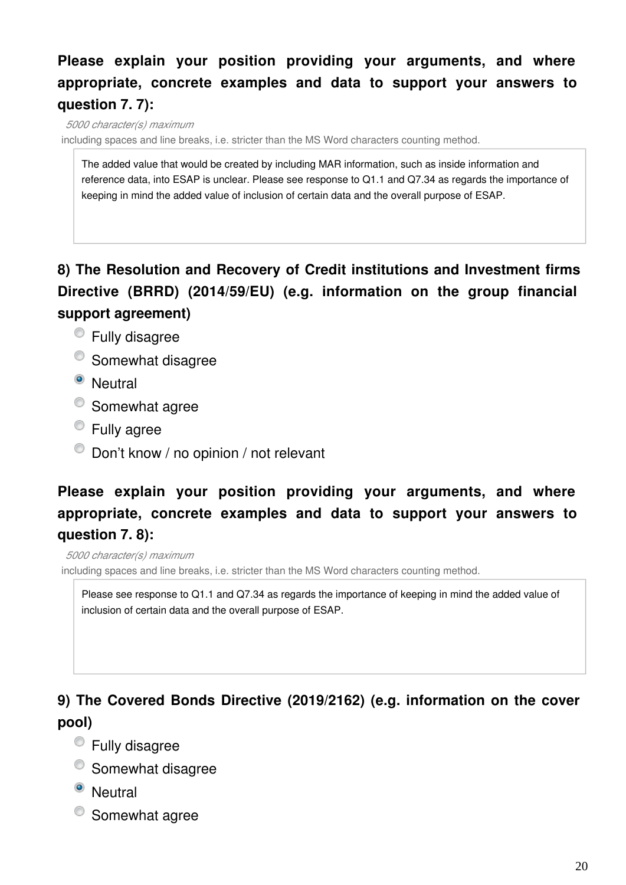## **Please explain your position providing your arguments, and where appropriate, concrete examples and data to support your answers to question 7. 7):**

*5000 character(s) maximum* including spaces and line breaks, i.e. stricter than the MS Word characters counting method.

The added value that would be created by including MAR information, such as inside information and reference data, into ESAP is unclear. Please see response to Q1.1 and Q7.34 as regards the importance of keeping in mind the added value of inclusion of certain data and the overall purpose of ESAP.

#### **8) The Resolution and Recovery of Credit institutions and Investment firms Directive (BRRD) (2014/59/EU) (e.g. information on the group financial support agreement)**

- Fully disagree
- <sup>O</sup> Somewhat disagree
- <sup>o</sup> Neutral
- <sup>O</sup> Somewhat agree
- Fully agree
- $\bullet$  Don't know / no opinion / not relevant

### **Please explain your position providing your arguments, and where appropriate, concrete examples and data to support your answers to question 7. 8):**

*5000 character(s) maximum* including spaces and line breaks, i.e. stricter than the MS Word characters counting method.

Please see response to Q1.1 and Q7.34 as regards the importance of keeping in mind the added value of inclusion of certain data and the overall purpose of ESAP.

# **9) The Covered Bonds Directive (2019/2162) (e.g. information on the cover pool)**

- Fully disagree
- <sup>O</sup> Somewhat disagree
- <sup>o</sup> Neutral
- Somewhat agree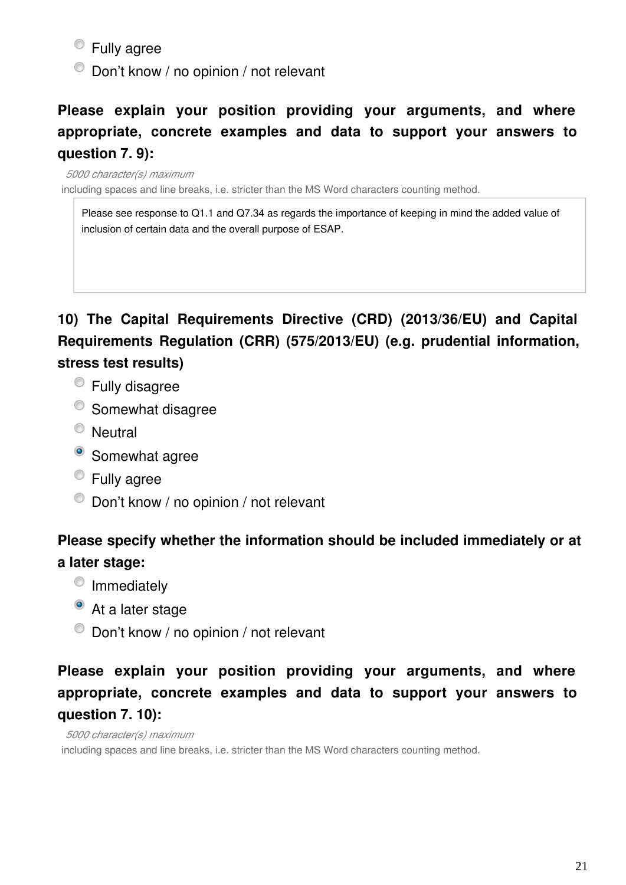Fully agree

 $\bullet$  Don't know / no opinion / not relevant

## **Please explain your position providing your arguments, and where appropriate, concrete examples and data to support your answers to question 7. 9):**

*5000 character(s) maximum* including spaces and line breaks, i.e. stricter than the MS Word characters counting method.

Please see response to Q1.1 and Q7.34 as regards the importance of keeping in mind the added value of inclusion of certain data and the overall purpose of ESAP.

**10) The Capital Requirements Directive (CRD) (2013/36/EU) and Capital Requirements Regulation (CRR) (575/2013/EU) (e.g. prudential information, stress test results)**

- Fully disagree
- <sup>O</sup> Somewhat disagree
- <sup>O</sup> Neutral
- <sup>o</sup> Somewhat agree
- Fully agree
- $\bullet$  Don't know / no opinion / not relevant

## **Please specify whether the information should be included immediately or at a later stage:**

- <sup>o</sup> Immediately
- At a later stage
- $\bullet$  Don't know / no opinion / not relevant

### **Please explain your position providing your arguments, and where appropriate, concrete examples and data to support your answers to question 7. 10):**

*5000 character(s) maximum* including spaces and line breaks, i.e. stricter than the MS Word characters counting method.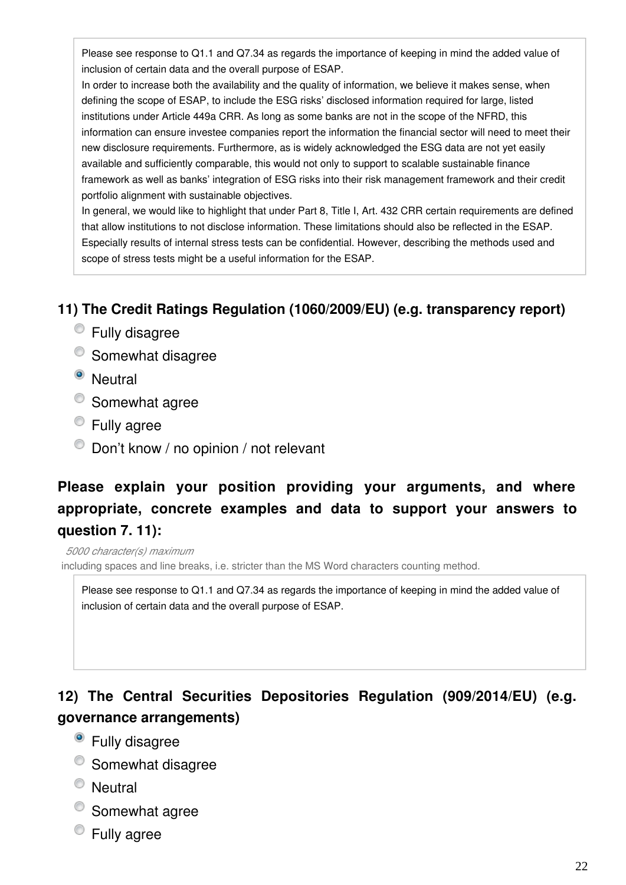Please see response to Q1.1 and Q7.34 as regards the importance of keeping in mind the added value of inclusion of certain data and the overall purpose of ESAP.

In order to increase both the availability and the quality of information, we believe it makes sense, when defining the scope of ESAP, to include the ESG risks' disclosed information required for large, listed institutions under Article 449a CRR. As long as some banks are not in the scope of the NFRD, this information can ensure investee companies report the information the financial sector will need to meet their new disclosure requirements. Furthermore, as is widely acknowledged the ESG data are not yet easily available and sufficiently comparable, this would not only to support to scalable sustainable finance framework as well as banks' integration of ESG risks into their risk management framework and their credit portfolio alignment with sustainable objectives.

In general, we would like to highlight that under Part 8, Title I, Art. 432 CRR certain requirements are defined that allow institutions to not disclose information. These limitations should also be reflected in the ESAP. Especially results of internal stress tests can be confidential. However, describing the methods used and scope of stress tests might be a useful information for the ESAP.

#### **11) The Credit Ratings Regulation (1060/2009/EU) (e.g. transparency report)**

- Fully disagree
- <sup>o</sup> Somewhat disagree
- <sup>O</sup> Neutral
- Somewhat agree
- **Eully agree**
- $\bullet$  Don't know / no opinion / not relevant

#### **Please explain your position providing your arguments, and where appropriate, concrete examples and data to support your answers to question 7. 11):**

*5000 character(s) maximum* including spaces and line breaks, i.e. stricter than the MS Word characters counting method.

Please see response to Q1.1 and Q7.34 as regards the importance of keeping in mind the added value of inclusion of certain data and the overall purpose of ESAP.

## **12) The Central Securities Depositories Regulation (909/2014/EU) (e.g. governance arrangements)**

- Fully disagree
- Somewhat disagree
- <sup>O</sup> Neutral
- <sup>O</sup> Somewhat agree
- Fully agree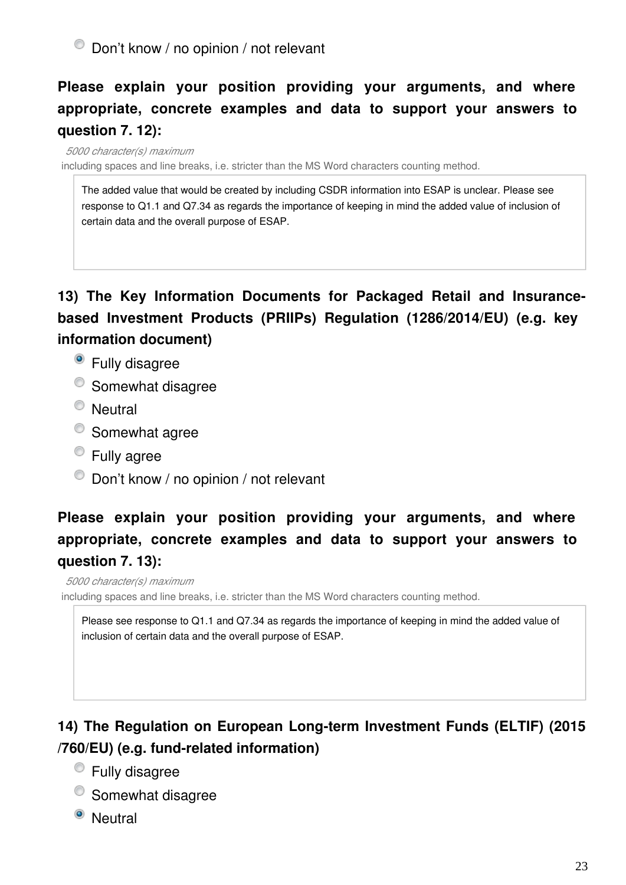# **Please explain your position providing your arguments, and where appropriate, concrete examples and data to support your answers to question 7. 12):**

*5000 character(s) maximum* including spaces and line breaks, i.e. stricter than the MS Word characters counting method.

The added value that would be created by including CSDR information into ESAP is unclear. Please see response to Q1.1 and Q7.34 as regards the importance of keeping in mind the added value of inclusion of certain data and the overall purpose of ESAP.

## **13) The Key Information Documents for Packaged Retail and Insurancebased Investment Products (PRIIPs) Regulation (1286/2014/EU) (e.g. key information document)**

- Fully disagree
- <sup>o</sup> Somewhat disagree
- <sup>O</sup> Neutral
- <sup>o</sup> Somewhat agree
- Fully agree
- $\bullet$  Don't know / no opinion / not relevant

# **Please explain your position providing your arguments, and where appropriate, concrete examples and data to support your answers to question 7. 13):**

#### *5000 character(s) maximum*

including spaces and line breaks, i.e. stricter than the MS Word characters counting method.

Please see response to Q1.1 and Q7.34 as regards the importance of keeping in mind the added value of inclusion of certain data and the overall purpose of ESAP.

## **14) The Regulation on European Long-term Investment Funds (ELTIF) (2015 /760/EU) (e.g. fund-related information)**

- Fully disagree
- <sup>O</sup> Somewhat disagree
- <sup>O</sup> Neutral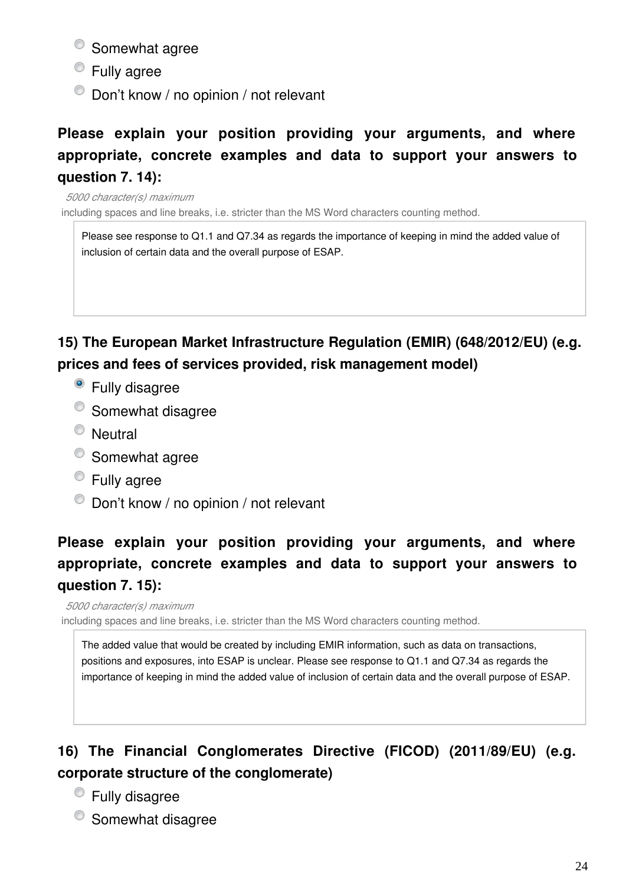- <sup>o</sup> Somewhat agree
- **Eully agree**
- $\bullet$  Don't know / no opinion / not relevant

## **Please explain your position providing your arguments, and where appropriate, concrete examples and data to support your answers to question 7. 14):**

*5000 character(s) maximum* including spaces and line breaks, i.e. stricter than the MS Word characters counting method.

Please see response to Q1.1 and Q7.34 as regards the importance of keeping in mind the added value of inclusion of certain data and the overall purpose of ESAP.

#### **15) The European Market Infrastructure Regulation (EMIR) (648/2012/EU) (e.g. prices and fees of services provided, risk management model)**

- Fully disagree
- <sup>O</sup> Somewhat disagree
- <sup>O</sup> Neutral
- Somewhat agree
- **Eully agree**
- $\bullet$  Don't know / no opinion / not relevant

# **Please explain your position providing your arguments, and where appropriate, concrete examples and data to support your answers to question 7. 15):**

*5000 character(s) maximum* including spaces and line breaks, i.e. stricter than the MS Word characters counting method.

The added value that would be created by including EMIR information, such as data on transactions, positions and exposures, into ESAP is unclear. Please see response to Q1.1 and Q7.34 as regards the importance of keeping in mind the added value of inclusion of certain data and the overall purpose of ESAP.

# **16) The Financial Conglomerates Directive (FICOD) (2011/89/EU) (e.g. corporate structure of the conglomerate)**

- Fully disagree
- <sup>O</sup> Somewhat disagree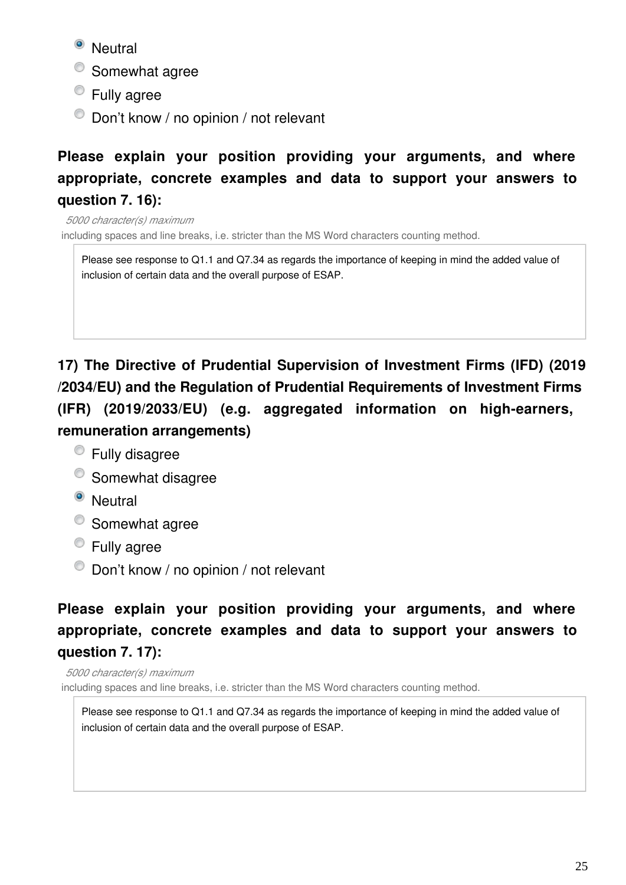<sup>o</sup> Neutral

- Somewhat agree
- Fully agree
- $\bullet$  Don't know / no opinion / not relevant

## **Please explain your position providing your arguments, and where appropriate, concrete examples and data to support your answers to question 7. 16):**

*5000 character(s) maximum* including spaces and line breaks, i.e. stricter than the MS Word characters counting method.

Please see response to Q1.1 and Q7.34 as regards the importance of keeping in mind the added value of inclusion of certain data and the overall purpose of ESAP.

**17) The Directive of Prudential Supervision of Investment Firms (IFD) (2019 /2034/EU) and the Regulation of Prudential Requirements of Investment Firms (IFR) (2019/2033/EU) (e.g. aggregated information on high-earners, remuneration arrangements)**

- Fully disagree
- <sup>O</sup> Somewhat disagree
- <sup>O</sup> Neutral
- Somewhat agree
- **Eully agree**
- $\bullet$  Don't know / no opinion / not relevant

# **Please explain your position providing your arguments, and where appropriate, concrete examples and data to support your answers to question 7. 17):**

*5000 character(s) maximum* including spaces and line breaks, i.e. stricter than the MS Word characters counting method.

Please see response to Q1.1 and Q7.34 as regards the importance of keeping in mind the added value of inclusion of certain data and the overall purpose of ESAP.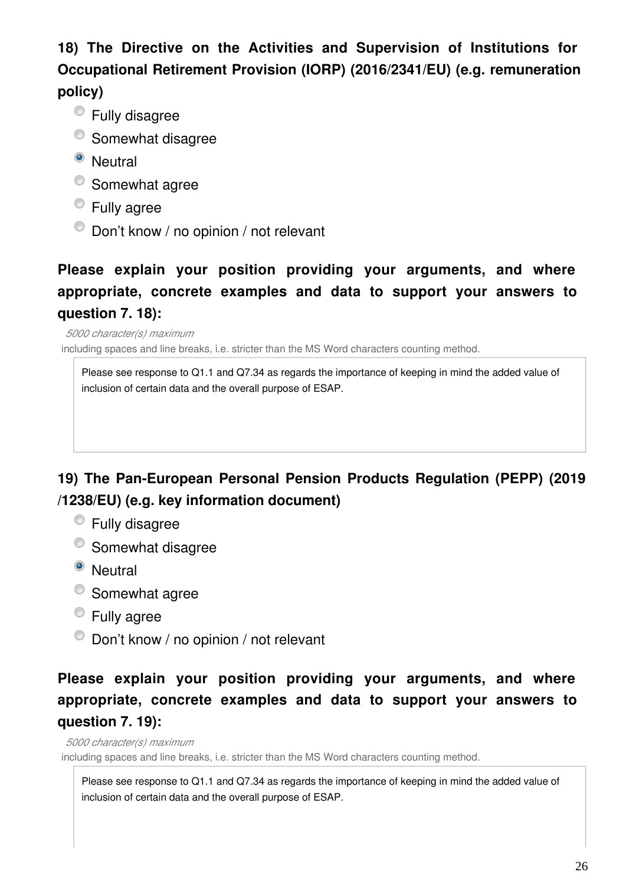**18) The Directive on the Activities and Supervision of Institutions for Occupational Retirement Provision (IORP) (2016/2341/EU) (e.g. remuneration policy)**

- Fully disagree
- <sup>O</sup> Somewhat disagree
- <sup>o</sup> Neutral
- Somewhat agree
- **Eully agree**
- $\bullet$  Don't know / no opinion / not relevant

## **Please explain your position providing your arguments, and where appropriate, concrete examples and data to support your answers to question 7. 18):**

*5000 character(s) maximum* including spaces and line breaks, i.e. stricter than the MS Word characters counting method.

Please see response to Q1.1 and Q7.34 as regards the importance of keeping in mind the added value of inclusion of certain data and the overall purpose of ESAP.

#### **19) The Pan-European Personal Pension Products Regulation (PEPP) (2019 /1238/EU) (e.g. key information document)**

- Fully disagree
- <sup>o</sup> Somewhat disagree
- <sup>O</sup> Neutral
- Somewhat agree
- **Eully agree**
- $\bullet$  Don't know / no opinion / not relevant

### **Please explain your position providing your arguments, and where appropriate, concrete examples and data to support your answers to question 7. 19):**

*5000 character(s) maximum*

including spaces and line breaks, i.e. stricter than the MS Word characters counting method.

Please see response to Q1.1 and Q7.34 as regards the importance of keeping in mind the added value of inclusion of certain data and the overall purpose of ESAP.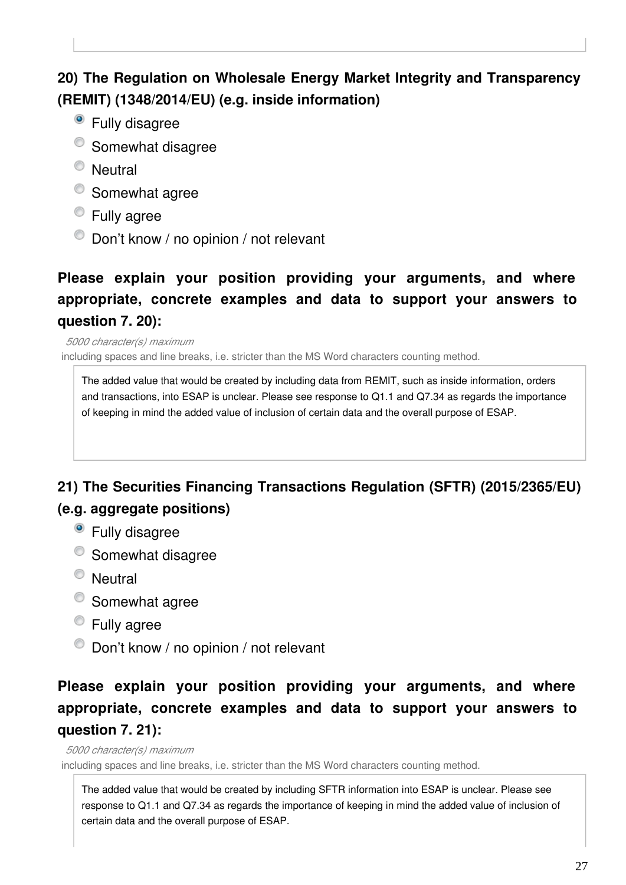# **20) The Regulation on Wholesale Energy Market Integrity and Transparency (REMIT) (1348/2014/EU) (e.g. inside information)**

- Fully disagree
- <sup>o</sup> Somewhat disagree
- <sup>O</sup> Neutral
- Somewhat agree
- Fully agree
- $\bullet$  Don't know / no opinion / not relevant

#### **Please explain your position providing your arguments, and where appropriate, concrete examples and data to support your answers to question 7. 20):**

*5000 character(s) maximum* including spaces and line breaks, i.e. stricter than the MS Word characters counting method.

The added value that would be created by including data from REMIT, such as inside information, orders and transactions, into ESAP is unclear. Please see response to Q1.1 and Q7.34 as regards the importance of keeping in mind the added value of inclusion of certain data and the overall purpose of ESAP.

#### **21) The Securities Financing Transactions Regulation (SFTR) (2015/2365/EU) (e.g. aggregate positions)**

- <sup>o</sup> Fully disagree
- <sup>O</sup> Somewhat disagree
- Neutral
- Somewhat agree
- **Eully agree**
- $\bullet$  Don't know / no opinion / not relevant

## **Please explain your position providing your arguments, and where appropriate, concrete examples and data to support your answers to question 7. 21):**

*5000 character(s) maximum*

including spaces and line breaks, i.e. stricter than the MS Word characters counting method.

The added value that would be created by including SFTR information into ESAP is unclear. Please see response to Q1.1 and Q7.34 as regards the importance of keeping in mind the added value of inclusion of certain data and the overall purpose of ESAP.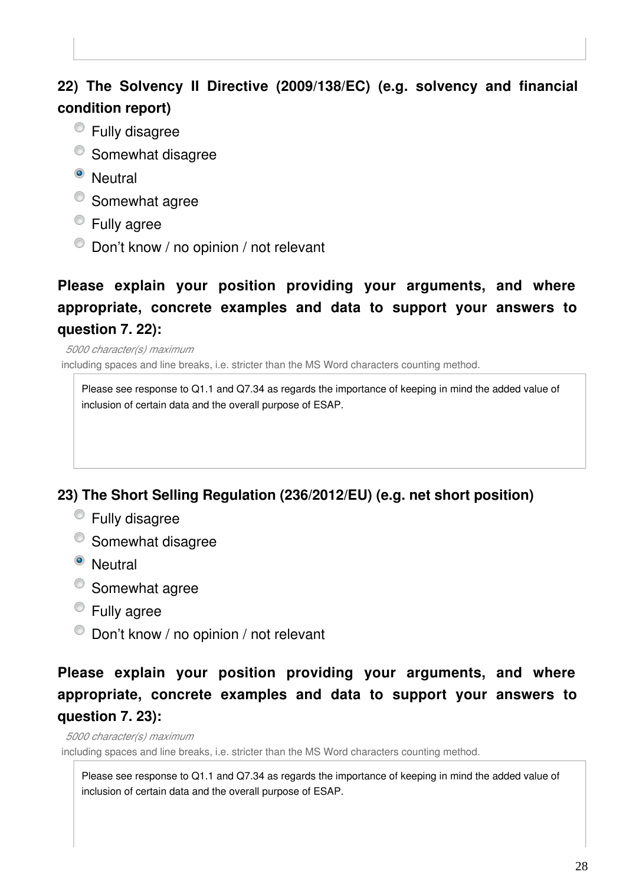#### **22) The Solvency II Directive (2009/138/EC) (e.g. solvency and financial condition report)**

- Fully disagree
- <sup>o</sup> Somewhat disagree
- <sup>o</sup> Neutral
- Somewhat agree
- **Eully agree**
- Don't know / no opinion / not relevant

## **Please explain your position providing your arguments, and where appropriate, concrete examples and data to support your answers to question 7. 22):**

*5000 character(s) maximum* including spaces and line breaks, i.e. stricter than the MS Word characters counting method.

Please see response to Q1.1 and Q7.34 as regards the importance of keeping in mind the added value of inclusion of certain data and the overall purpose of ESAP.

#### **23) The Short Selling Regulation (236/2012/EU) (e.g. net short position)**

- Fully disagree
- <sup>o</sup> Somewhat disagree
- <sup>o</sup> Neutral
- Somewhat agree
- **Eully agree**
- $\bullet$  Don't know / no opinion / not relevant

#### **Please explain your position providing your arguments, and where appropriate, concrete examples and data to support your answers to question 7. 23):**

*5000 character(s) maximum*

including spaces and line breaks, i.e. stricter than the MS Word characters counting method.

Please see response to Q1.1 and Q7.34 as regards the importance of keeping in mind the added value of inclusion of certain data and the overall purpose of ESAP.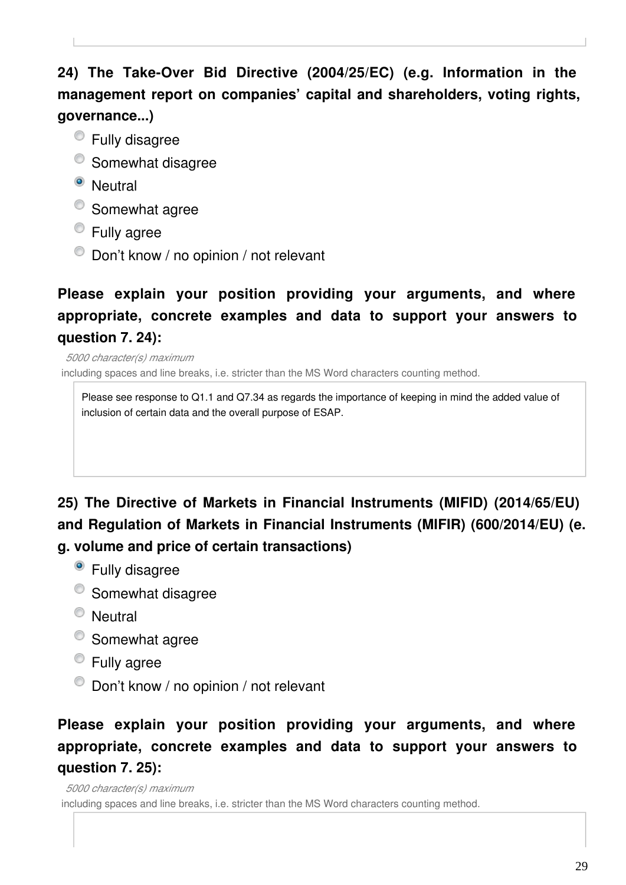# **24) The Take-Over Bid Directive (2004/25/EC) (e.g. Information in the management report on companies' capital and shareholders, voting rights, governance...)**

- Fully disagree
- <sup>O</sup> Somewhat disagree
- <sup>O</sup> Neutral
- Somewhat agree
- **Eully agree**
- $\bullet$  Don't know / no opinion / not relevant

# **Please explain your position providing your arguments, and where appropriate, concrete examples and data to support your answers to question 7. 24):**

*5000 character(s) maximum* including spaces and line breaks, i.e. stricter than the MS Word characters counting method.

Please see response to Q1.1 and Q7.34 as regards the importance of keeping in mind the added value of inclusion of certain data and the overall purpose of ESAP.

# **25) The Directive of Markets in Financial Instruments (MIFID) (2014/65/EU) and Regulation of Markets in Financial Instruments (MIFIR) (600/2014/EU) (e. g. volume and price of certain transactions)**

- Fully disagree
- <sup>o</sup> Somewhat disagree
- <sup>O</sup> Neutral
- Somewhat agree
- Fully agree
- $\bullet$  Don't know / no opinion / not relevant

## **Please explain your position providing your arguments, and where appropriate, concrete examples and data to support your answers to question 7. 25):**

*5000 character(s) maximum* including spaces and line breaks, i.e. stricter than the MS Word characters counting method.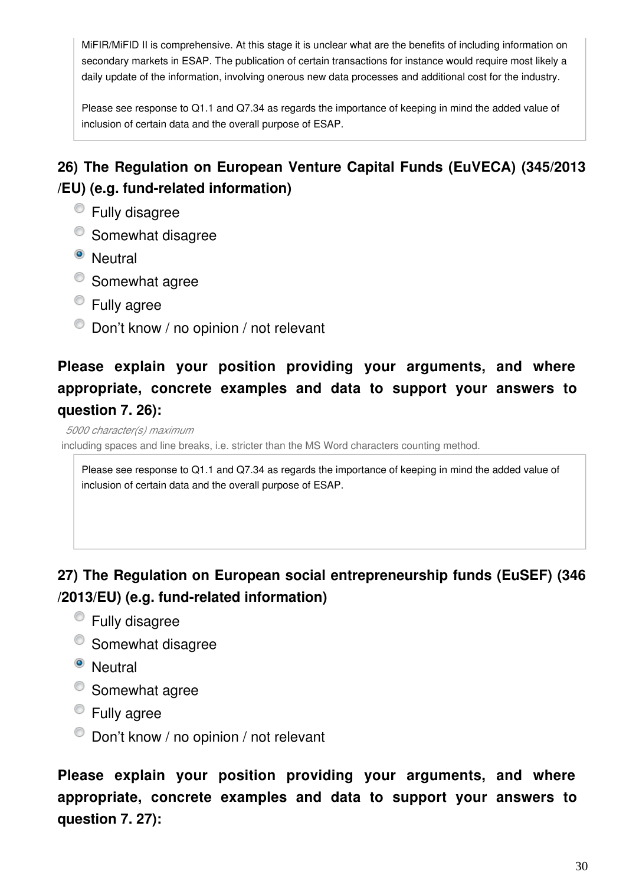MiFIR/MiFID II is comprehensive. At this stage it is unclear what are the benefits of including information on secondary markets in ESAP. The publication of certain transactions for instance would require most likely a daily update of the information, involving onerous new data processes and additional cost for the industry.

Please see response to Q1.1 and Q7.34 as regards the importance of keeping in mind the added value of inclusion of certain data and the overall purpose of ESAP.

# **26) The Regulation on European Venture Capital Funds (EuVECA) (345/2013 /EU) (e.g. fund-related information)**

- Fully disagree
- <sup>o</sup> Somewhat disagree
- <sup>o</sup> Neutral
- Somewhat agree
- Fully agree
- $\bullet$  Don't know / no opinion / not relevant

# **Please explain your position providing your arguments, and where appropriate, concrete examples and data to support your answers to question 7. 26):**

#### *5000 character(s) maximum*

including spaces and line breaks, i.e. stricter than the MS Word characters counting method.

Please see response to Q1.1 and Q7.34 as regards the importance of keeping in mind the added value of inclusion of certain data and the overall purpose of ESAP.

#### **27) The Regulation on European social entrepreneurship funds (EuSEF) (346 /2013/EU) (e.g. fund-related information)**

- Fully disagree
- <sup>O</sup> Somewhat disagree
- <sup>o</sup> Neutral
- Somewhat agree
- Fully agree
- $\bullet$  Don't know / no opinion / not relevant

**Please explain your position providing your arguments, and where appropriate, concrete examples and data to support your answers to question 7. 27):**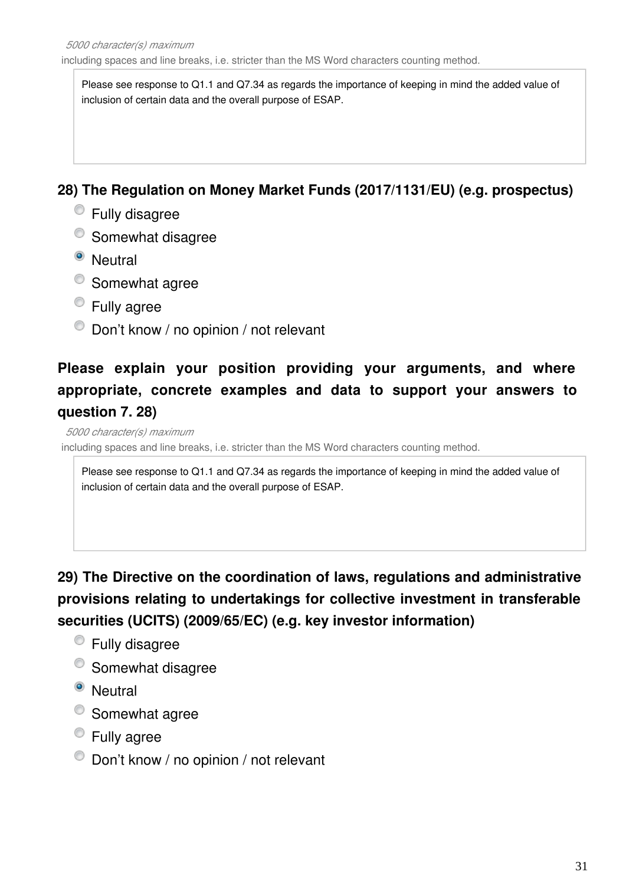Please see response to Q1.1 and Q7.34 as regards the importance of keeping in mind the added value of inclusion of certain data and the overall purpose of ESAP.

#### **28) The Regulation on Money Market Funds (2017/1131/EU) (e.g. prospectus)**

- Fully disagree
- <sup>o</sup> Somewhat disagree
- <sup>o</sup> Neutral
- Somewhat agree
- Fully agree
- $\bullet$  Don't know / no opinion / not relevant

# **Please explain your position providing your arguments, and where appropriate, concrete examples and data to support your answers to question 7. 28)**

#### *5000 character(s) maximum*

including spaces and line breaks, i.e. stricter than the MS Word characters counting method.

Please see response to Q1.1 and Q7.34 as regards the importance of keeping in mind the added value of inclusion of certain data and the overall purpose of ESAP.

**29) The Directive on the coordination of laws, regulations and administrative provisions relating to undertakings for collective investment in transferable securities (UCITS) (2009/65/EC) (e.g. key investor information)**

- Fully disagree
- <sup>o</sup> Somewhat disagree
- <sup>o</sup> Neutral
- Somewhat agree
- Fully agree
- $\bullet$  Don't know / no opinion / not relevant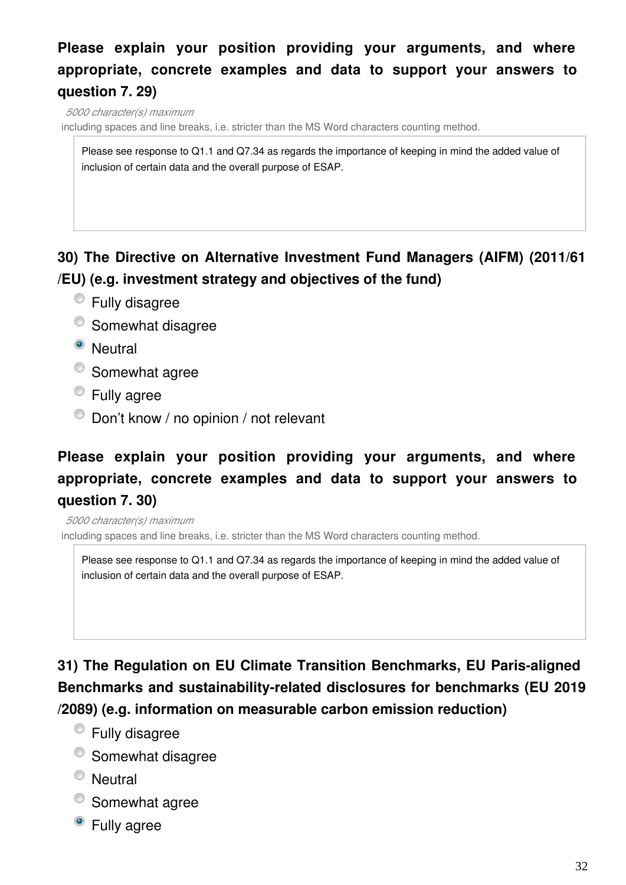## **Please explain your position providing your arguments, and where appropriate, concrete examples and data to support your answers to question 7. 29)**

*5000 character(s) maximum*

including spaces and line breaks, i.e. stricter than the MS Word characters counting method.

Please see response to Q1.1 and Q7.34 as regards the importance of keeping in mind the added value of inclusion of certain data and the overall purpose of ESAP.

#### **30) The Directive on Alternative Investment Fund Managers (AIFM) (2011/61 /EU) (e.g. investment strategy and objectives of the fund)**

- Fully disagree
- <sup>o</sup> Somewhat disagree
- <sup>O</sup> Neutral
- Somewhat agree
- **Eully agree**
- $\bullet$  Don't know / no opinion / not relevant

## **Please explain your position providing your arguments, and where appropriate, concrete examples and data to support your answers to question 7. 30)**

*5000 character(s) maximum*

including spaces and line breaks, i.e. stricter than the MS Word characters counting method.

Please see response to Q1.1 and Q7.34 as regards the importance of keeping in mind the added value of inclusion of certain data and the overall purpose of ESAP.

**31) The Regulation on EU Climate Transition Benchmarks, EU Paris-aligned Benchmarks and sustainability-related disclosures for benchmarks (EU 2019 /2089) (e.g. information on measurable carbon emission reduction)**

- Fully disagree
- <sup>O</sup> Somewhat disagree
- <sup>O</sup> Neutral
- Somewhat agree
- Fully agree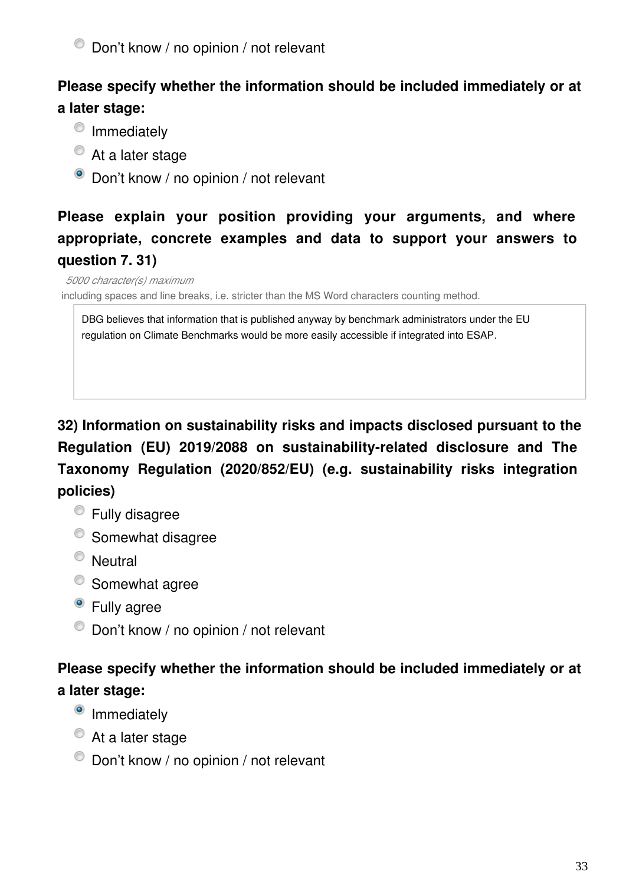#### **Please specify whether the information should be included immediately or at a later stage:**

- <sup>o</sup> Immediately
- At a later stage
- Don't know / no opinion / not relevant

# **Please explain your position providing your arguments, and where appropriate, concrete examples and data to support your answers to question 7. 31)**

*5000 character(s) maximum*

including spaces and line breaks, i.e. stricter than the MS Word characters counting method.

DBG believes that information that is published anyway by benchmark administrators under the EU regulation on Climate Benchmarks would be more easily accessible if integrated into ESAP.

**32) Information on sustainability risks and impacts disclosed pursuant to the Regulation (EU) 2019/2088 on sustainability-related disclosure and The Taxonomy Regulation (2020/852/EU) (e.g. sustainability risks integration policies)**

- Fully disagree
- <sup>O</sup> Somewhat disagree
- <sup>O</sup> Neutral
- Somewhat agree
- <sup>o</sup> Fully agree
- $\bullet$  Don't know / no opinion / not relevant

#### **Please specify whether the information should be included immediately or at a later stage:**

- <sup>o</sup> Immediately
- At a later stage
- $\bullet$  Don't know / no opinion / not relevant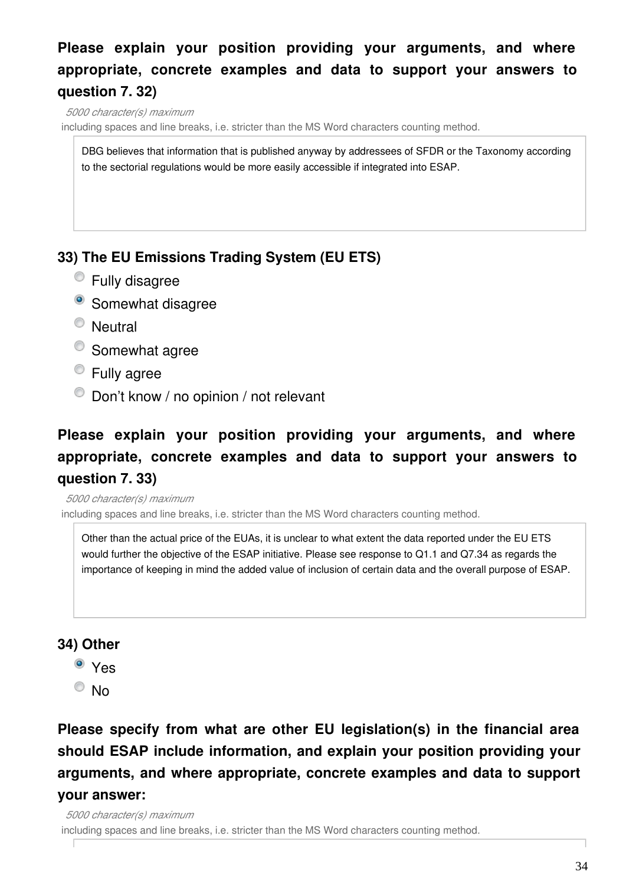## **Please explain your position providing your arguments, and where appropriate, concrete examples and data to support your answers to question 7. 32)**

*5000 character(s) maximum*

including spaces and line breaks, i.e. stricter than the MS Word characters counting method.

DBG believes that information that is published anyway by addressees of SFDR or the Taxonomy according to the sectorial regulations would be more easily accessible if integrated into ESAP.

#### **33) The EU Emissions Trading System (EU ETS)**

- Fully disagree
- <sup>o</sup> Somewhat disagree
- <sup>O</sup> Neutral
- Somewhat agree
- **Eully agree**
- $\bullet$  Don't know / no opinion / not relevant

## **Please explain your position providing your arguments, and where appropriate, concrete examples and data to support your answers to question 7. 33)**

*5000 character(s) maximum* including spaces and line breaks, i.e. stricter than the MS Word characters counting method.

Other than the actual price of the EUAs, it is unclear to what extent the data reported under the EU ETS would further the objective of the ESAP initiative. Please see response to Q1.1 and Q7.34 as regards the importance of keeping in mind the added value of inclusion of certain data and the overall purpose of ESAP.

#### **34) Other**

- Yes
- $\bullet$  No

#### **Please specify from what are other EU legislation(s) in the financial area should ESAP include information, and explain your position providing your arguments, and where appropriate, concrete examples and data to support your answer:**

*5000 character(s) maximum*

including spaces and line breaks, i.e. stricter than the MS Word characters counting method.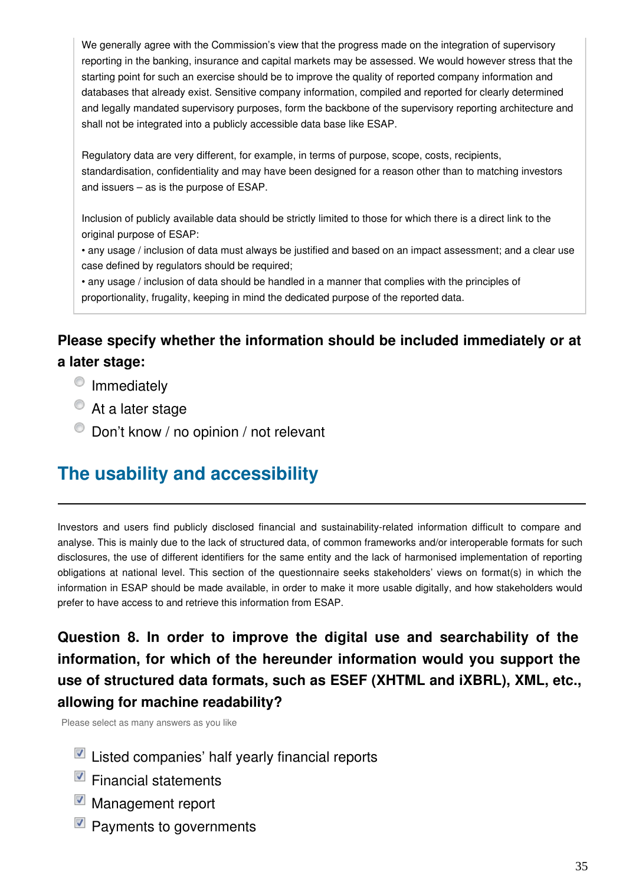We generally agree with the Commission's view that the progress made on the integration of supervisory reporting in the banking, insurance and capital markets may be assessed. We would however stress that the starting point for such an exercise should be to improve the quality of reported company information and databases that already exist. Sensitive company information, compiled and reported for clearly determined and legally mandated supervisory purposes, form the backbone of the supervisory reporting architecture and shall not be integrated into a publicly accessible data base like ESAP.

Regulatory data are very different, for example, in terms of purpose, scope, costs, recipients, standardisation, confidentiality and may have been designed for a reason other than to matching investors and issuers – as is the purpose of ESAP.

Inclusion of publicly available data should be strictly limited to those for which there is a direct link to the original purpose of ESAP:

• any usage / inclusion of data must always be justified and based on an impact assessment; and a clear use case defined by regulators should be required;

• any usage / inclusion of data should be handled in a manner that complies with the principles of proportionality, frugality, keeping in mind the dedicated purpose of the reported data.

#### **Please specify whether the information should be included immediately or at a later stage:**

- <sup>O</sup> Immediately
- $\bullet$  At a later stage
- $\bullet$  Don't know / no opinion / not relevant

# **The usability and accessibility**

Investors and users find publicly disclosed financial and sustainability-related information difficult to compare and analyse. This is mainly due to the lack of structured data, of common frameworks and/or interoperable formats for such disclosures, the use of different identifiers for the same entity and the lack of harmonised implementation of reporting obligations at national level. This section of the questionnaire seeks stakeholders' views on format(s) in which the information in ESAP should be made available, in order to make it more usable digitally, and how stakeholders would prefer to have access to and retrieve this information from ESAP.

## **Question 8. In order to improve the digital use and searchability of the information, for which of the hereunder information would you support the use of structured data formats, such as ESEF (XHTML and iXBRL), XML, etc., allowing for machine readability?**

Please select as many answers as you like

- $\blacksquare$  Listed companies' half yearly financial reports
- $\blacksquare$  Financial statements
- Management report
- Payments to governments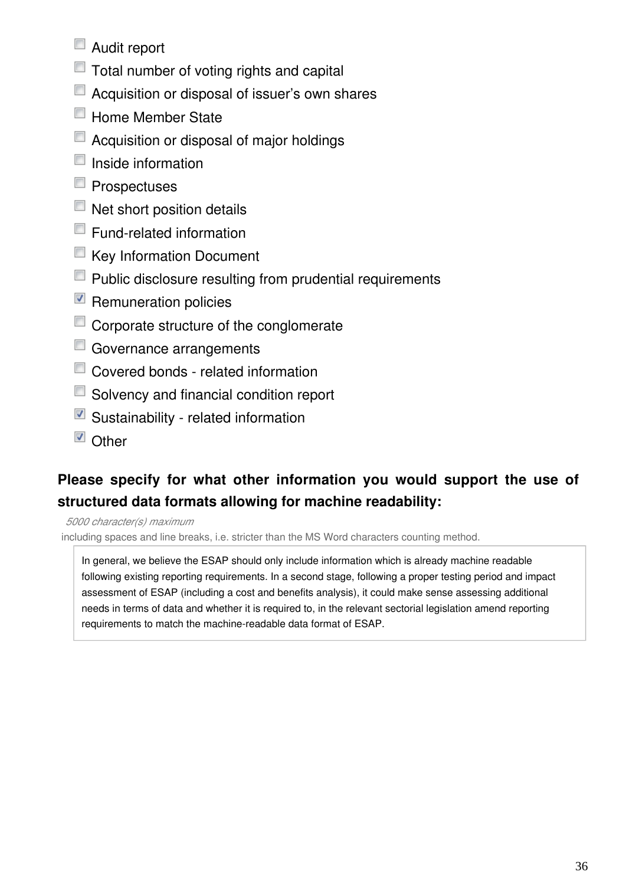- Audit report
- Total number of voting rights and capital
- Acquisition or disposal of issuer's own shares
- **Home Member State**
- Acquisition or disposal of major holdings
- $\blacksquare$  Inside information
- $\blacksquare$  Prospectuses
- $\blacksquare$  Net short position details
- Fund-related information
- Key Information Document
- **Public disclosure resulting from prudential requirements**
- $\blacksquare$  Remuneration policies
- Corporate structure of the conglomerate
- Governance arrangements
- Covered bonds related information
- Solvency and financial condition report
- $\blacksquare$  Sustainability related information
- Other

#### **Please specify for what other information you would support the use of structured data formats allowing for machine readability:**

*5000 character(s) maximum*

including spaces and line breaks, i.e. stricter than the MS Word characters counting method.

In general, we believe the ESAP should only include information which is already machine readable following existing reporting requirements. In a second stage, following a proper testing period and impact assessment of ESAP (including a cost and benefits analysis), it could make sense assessing additional needs in terms of data and whether it is required to, in the relevant sectorial legislation amend reporting requirements to match the machine-readable data format of ESAP.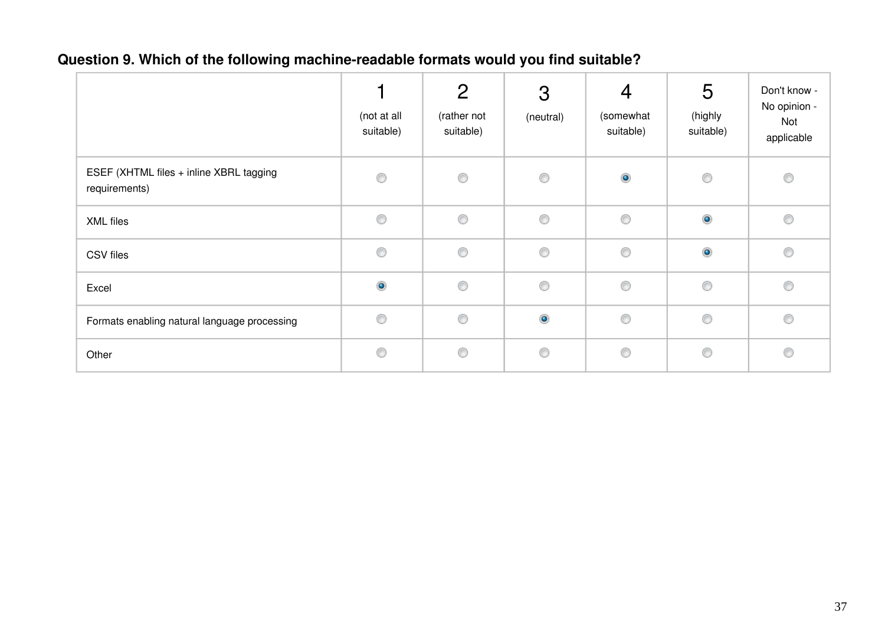## **Question 9. Which of the following machine-readable formats would you find suitable?**

|                                                          | (not at all<br>suitable) | $\overline{2}$<br>(rather not<br>suitable) | 3<br>(neutral) | $\overline{4}$<br>(somewhat<br>suitable) | 5<br>(highly<br>suitable) | Don't know -<br>No opinion -<br>Not<br>applicable |
|----------------------------------------------------------|--------------------------|--------------------------------------------|----------------|------------------------------------------|---------------------------|---------------------------------------------------|
| ESEF (XHTML files + inline XBRL tagging<br>requirements) | 0                        | $\circledcirc$                             | $\circledcirc$ | $\bullet$                                | $\circledcirc$            | $\circledcirc$                                    |
| XML files                                                | $\circledcirc$           | 0                                          | 0              | $\circledcirc$                           | $\bullet$                 | 0                                                 |
| CSV files                                                | $\circledcirc$           | $\circledcirc$                             | $\circledcirc$ | $\circledcirc$                           | $\bullet$                 | O                                                 |
| Excel                                                    | $\bullet$                | $\circledcirc$                             | $\circledcirc$ | $\circledcirc$                           | 0                         | O                                                 |
| Formats enabling natural language processing             | 0                        | $\circledcirc$                             | $\bullet$      | 0                                        | 0                         | 0                                                 |
| Other                                                    | 0                        | $\circledcirc$                             | $\circledcirc$ | 0                                        | 0                         | O                                                 |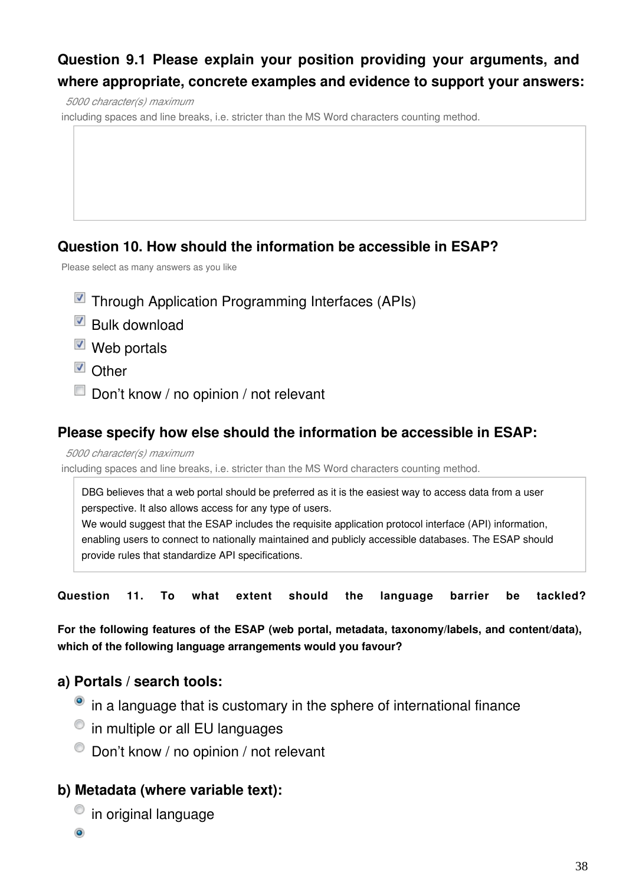#### **Question 9.1 Please explain your position providing your arguments, and where appropriate, concrete examples and evidence to support your answers:**

*5000 character(s) maximum*

including spaces and line breaks, i.e. stricter than the MS Word characters counting method.

#### **Question 10. How should the information be accessible in ESAP?**

Please select as many answers as you like

- **Through Application Programming Interfaces (APIs)**
- Bulk download
- $\blacksquare$  Web portals
- Other
- Don't know / no opinion / not relevant

#### **Please specify how else should the information be accessible in ESAP:**

*5000 character(s) maximum*

including spaces and line breaks, i.e. stricter than the MS Word characters counting method.

DBG believes that a web portal should be preferred as it is the easiest way to access data from a user perspective. It also allows access for any type of users.

We would suggest that the ESAP includes the requisite application protocol interface (API) information, enabling users to connect to nationally maintained and publicly accessible databases. The ESAP should provide rules that standardize API specifications.

**Question 11. To what extent should the language barrier be tackled?**

**For the following features of the ESAP (web portal, metadata, taxonomy/labels, and content/data), which of the following language arrangements would you favour?**

#### **a) Portals / search tools:**

- <sup>o</sup> in a language that is customary in the sphere of international finance
- $\bullet$  in multiple or all EU languages
- $\bullet$  Don't know / no opinion / not relevant

#### **b) Metadata (where variable text):**

 $\bullet$  in original language

۵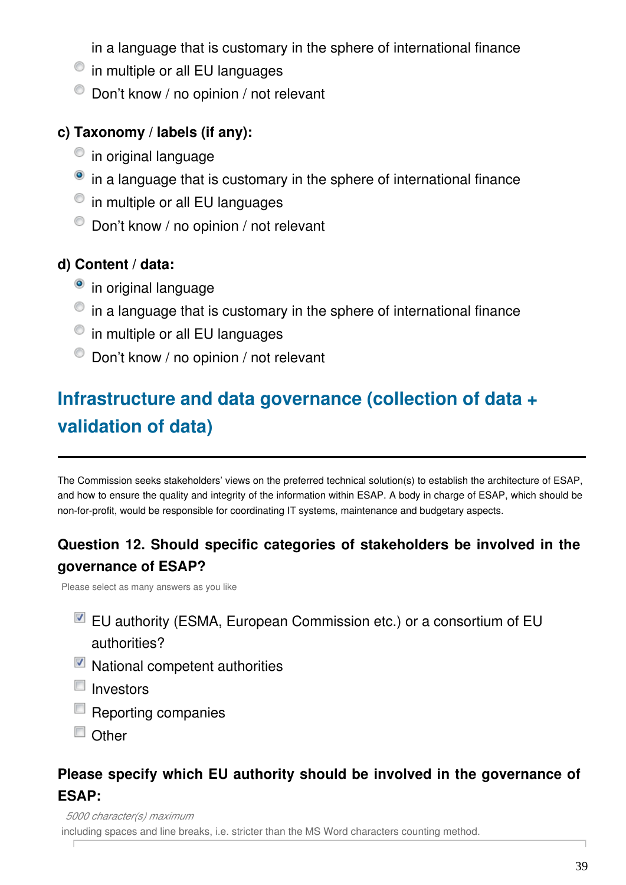in a language that is customary in the sphere of international finance

- $\bullet$  in multiple or all EU languages
- $\bullet$  Don't know / no opinion / not relevant

#### **c) Taxonomy / labels (if any):**

- $\circ$  in original language
- in a language that is customary in the sphere of international finance
- $\bullet$  in multiple or all EU languages
- $\bullet$  Don't know / no opinion / not relevant

#### **d) Content / data:**

- <sup>o</sup> in original language
- $\bullet$  in a language that is customary in the sphere of international finance
- $\bullet$  in multiple or all EU languages
- $\bullet$  Don't know / no opinion / not relevant

# **Infrastructure and data governance (collection of data + validation of data)**

The Commission seeks stakeholders' views on the preferred technical solution(s) to establish the architecture of ESAP, and how to ensure the quality and integrity of the information within ESAP. A body in charge of ESAP, which should be non-for-profit, would be responsible for coordinating IT systems, maintenance and budgetary aspects.

#### **Question 12. Should specific categories of stakeholders be involved in the governance of ESAP?**

Please select as many answers as you like

- $\blacksquare$  EU authority (ESMA, European Commission etc.) or a consortium of EU authorities?
- $\blacksquare$  National competent authorities
- $\blacksquare$  Investors
- Reporting companies
- $\Box$  Other

#### **Please specify which EU authority should be involved in the governance of ESAP:**

*5000 character(s) maximum*

including spaces and line breaks, i.e. stricter than the MS Word characters counting method.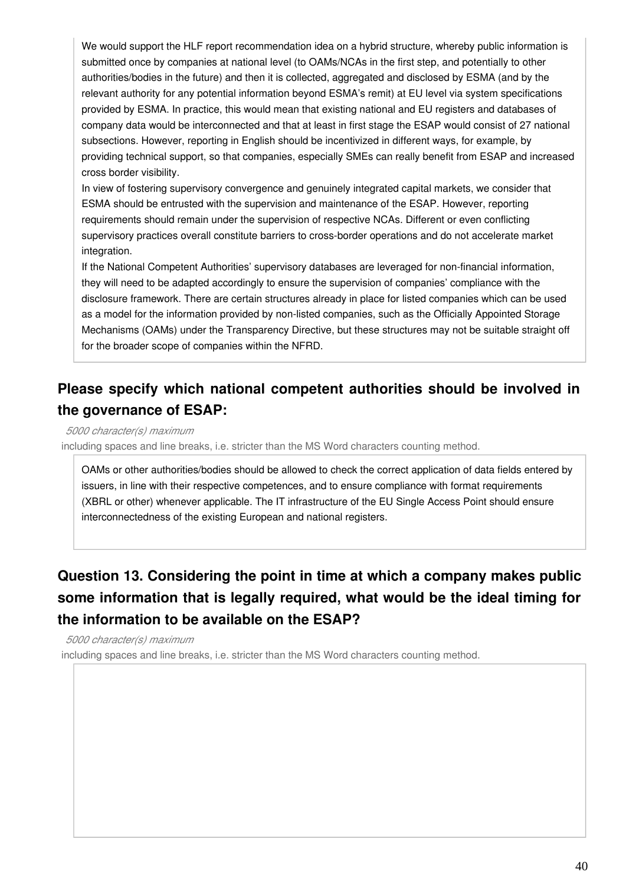We would support the HLF report recommendation idea on a hybrid structure, whereby public information is submitted once by companies at national level (to OAMs/NCAs in the first step, and potentially to other authorities/bodies in the future) and then it is collected, aggregated and disclosed by ESMA (and by the relevant authority for any potential information beyond ESMA's remit) at EU level via system specifications provided by ESMA. In practice, this would mean that existing national and EU registers and databases of company data would be interconnected and that at least in first stage the ESAP would consist of 27 national subsections. However, reporting in English should be incentivized in different ways, for example, by providing technical support, so that companies, especially SMEs can really benefit from ESAP and increased cross border visibility.

In view of fostering supervisory convergence and genuinely integrated capital markets, we consider that ESMA should be entrusted with the supervision and maintenance of the ESAP. However, reporting requirements should remain under the supervision of respective NCAs. Different or even conflicting supervisory practices overall constitute barriers to cross-border operations and do not accelerate market integration.

If the National Competent Authorities' supervisory databases are leveraged for non-financial information, they will need to be adapted accordingly to ensure the supervision of companies' compliance with the disclosure framework. There are certain structures already in place for listed companies which can be used as a model for the information provided by non-listed companies, such as the Officially Appointed Storage Mechanisms (OAMs) under the Transparency Directive, but these structures may not be suitable straight off for the broader scope of companies within the NFRD.

#### **Please specify which national competent authorities should be involved in the governance of ESAP:**

*5000 character(s) maximum*

including spaces and line breaks, i.e. stricter than the MS Word characters counting method.

OAMs or other authorities/bodies should be allowed to check the correct application of data fields entered by issuers, in line with their respective competences, and to ensure compliance with format requirements (XBRL or other) whenever applicable. The IT infrastructure of the EU Single Access Point should ensure interconnectedness of the existing European and national registers.

## **Question 13. Considering the point in time at which a company makes public some information that is legally required, what would be the ideal timing for the information to be available on the ESAP?**

*5000 character(s) maximum*

including spaces and line breaks, i.e. stricter than the MS Word characters counting method.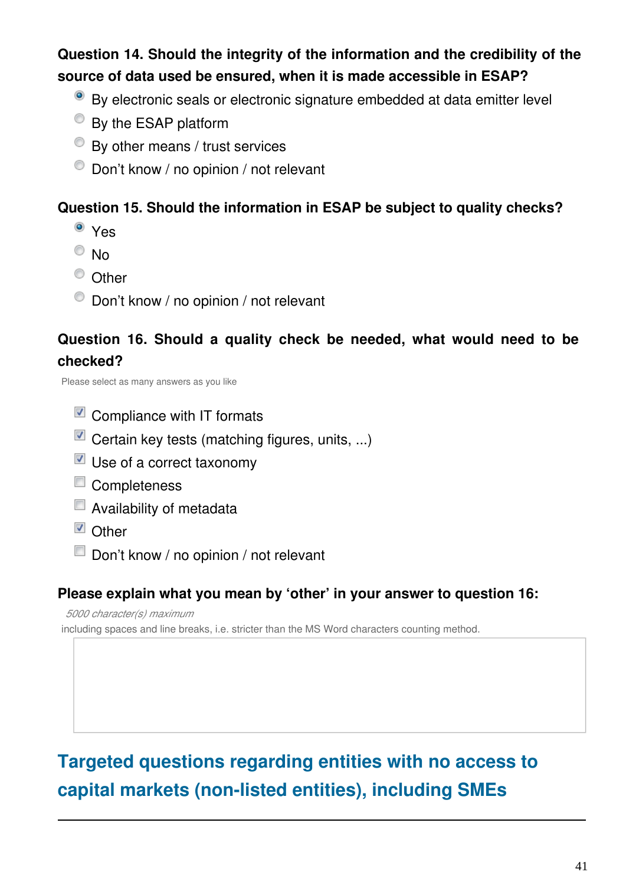### **Question 14. Should the integrity of the information and the credibility of the source of data used be ensured, when it is made accessible in ESAP?**

- By electronic seals or electronic signature embedded at data emitter level
- <sup>O</sup> By the ESAP platform
- By other means / trust services
- $\bullet$  Don't know / no opinion / not relevant

#### **Question 15. Should the information in ESAP be subject to quality checks?**

- <sup>o</sup> Yes
- <sup>O</sup>No
- <sup>O</sup> Other
- $\bullet$  Don't know / no opinion / not relevant

#### **Question 16. Should a quality check be needed, what would need to be checked?**

Please select as many answers as you like

- $\blacksquare$  Compliance with IT formats
- $\blacksquare$  Certain key tests (matching figures, units, ...)
- Use of a correct taxonomy
- Completeness
- $\blacksquare$  Availability of metadata
- **D** Other
- Don't know / no opinion / not relevant

#### **Please explain what you mean by 'other' in your answer to question 16:**

*5000 character(s) maximum*

including spaces and line breaks, i.e. stricter than the MS Word characters counting method.

# **Targeted questions regarding entities with no access to capital markets (non-listed entities), including SMEs**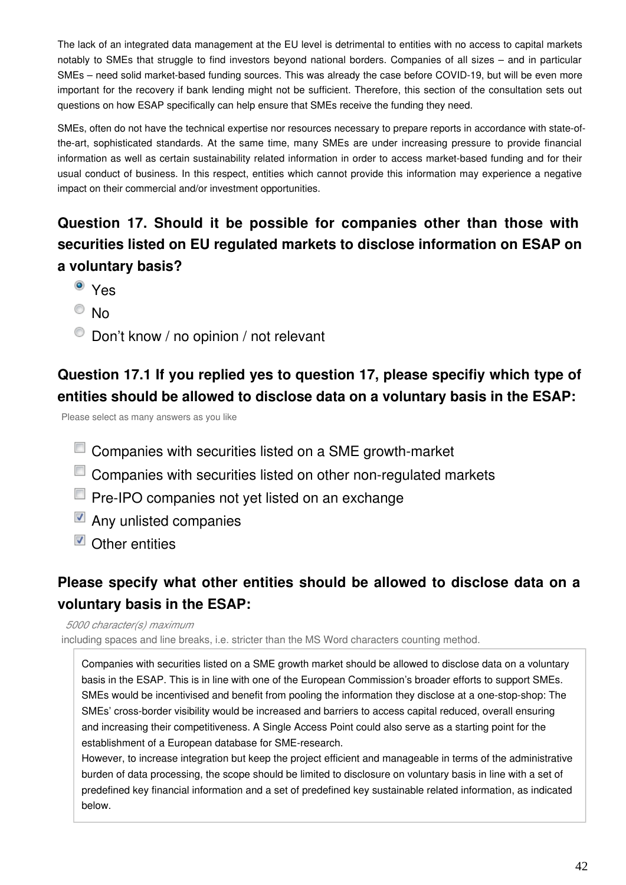The lack of an integrated data management at the EU level is detrimental to entities with no access to capital markets notably to SMEs that struggle to find investors beyond national borders. Companies of all sizes – and in particular SMEs – need solid market-based funding sources. This was already the case before COVID-19, but will be even more important for the recovery if bank lending might not be sufficient. Therefore, this section of the consultation sets out questions on how ESAP specifically can help ensure that SMEs receive the funding they need.

SMEs, often do not have the technical expertise nor resources necessary to prepare reports in accordance with state-ofthe-art, sophisticated standards. At the same time, many SMEs are under increasing pressure to provide financial information as well as certain sustainability related information in order to access market-based funding and for their usual conduct of business. In this respect, entities which cannot provide this information may experience a negative impact on their commercial and/or investment opportunities.

#### **Question 17. Should it be possible for companies other than those with securities listed on EU regulated markets to disclose information on ESAP on a voluntary basis?**

- <sup>o</sup> Yes
- $\circ$  No
- $\bullet$  Don't know / no opinion / not relevant

#### **Question 17.1 If you replied yes to question 17, please specifiy which type of entities should be allowed to disclose data on a voluntary basis in the ESAP:**

Please select as many answers as you like

- **Companies with securities listed on a SME growth-market**
- Companies with securities listed on other non-regulated markets
- **Pre-IPO companies not yet listed on an exchange**
- Any unlisted companies
- $\blacksquare$  Other entities

#### **Please specify what other entities should be allowed to disclose data on a voluntary basis in the ESAP:**

*5000 character(s) maximum*

including spaces and line breaks, i.e. stricter than the MS Word characters counting method.

Companies with securities listed on a SME growth market should be allowed to disclose data on a voluntary basis in the ESAP. This is in line with one of the European Commission's broader efforts to support SMEs. SMEs would be incentivised and benefit from pooling the information they disclose at a one-stop-shop: The SMEs' cross-border visibility would be increased and barriers to access capital reduced, overall ensuring and increasing their competitiveness. A Single Access Point could also serve as a starting point for the establishment of a European database for SME-research.

However, to increase integration but keep the project efficient and manageable in terms of the administrative burden of data processing, the scope should be limited to disclosure on voluntary basis in line with a set of predefined key financial information and a set of predefined key sustainable related information, as indicated below.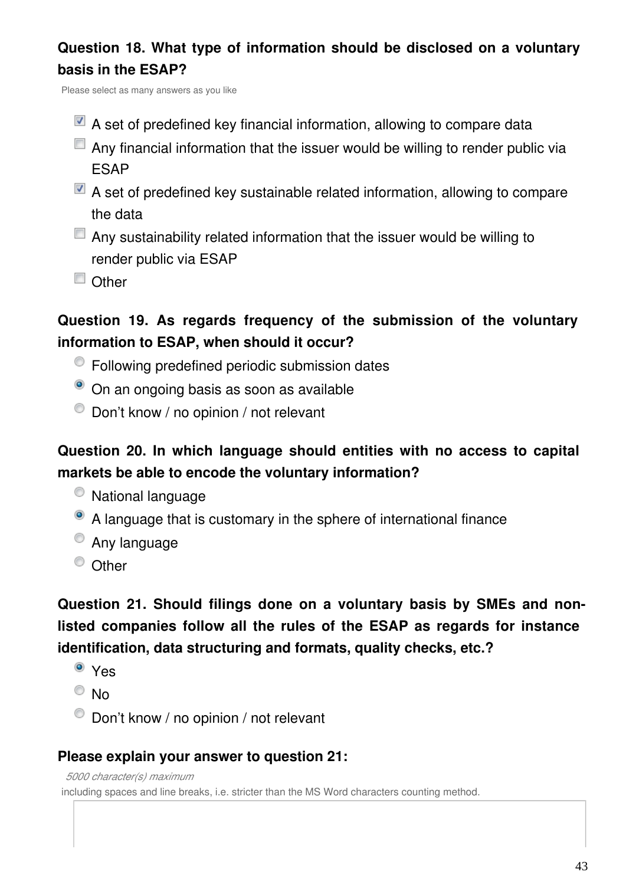### **Question 18. What type of information should be disclosed on a voluntary basis in the ESAP?**

Please select as many answers as you like

- $\blacksquare$  A set of predefined key financial information, allowing to compare data
- $\Box$  Any financial information that the issuer would be willing to render public via ESAP
- $\blacksquare$  A set of predefined key sustainable related information, allowing to compare the data
- $\Box$  Any sustainability related information that the issuer would be willing to render public via ESAP
- Other

#### **Question 19. As regards frequency of the submission of the voluntary information to ESAP, when should it occur?**

- Following predefined periodic submission dates
- <sup>o</sup> On an ongoing basis as soon as available
- $\bullet$  Don't know / no opinion / not relevant

#### **Question 20. In which language should entities with no access to capital markets be able to encode the voluntary information?**

- National language
- A language that is customary in the sphere of international finance
- <sup>O</sup> Any language
- <sup>O</sup> Other

### **Question 21. Should filings done on a voluntary basis by SMEs and nonlisted companies follow all the rules of the ESAP as regards for instance identification, data structuring and formats, quality checks, etc.?**

- <sup>o</sup> Yes
- $\circ$  No
- $\bullet$  Don't know / no opinion / not relevant

#### **Please explain your answer to question 21:**

*5000 character(s) maximum* including spaces and line breaks, i.e. stricter than the MS Word characters counting method.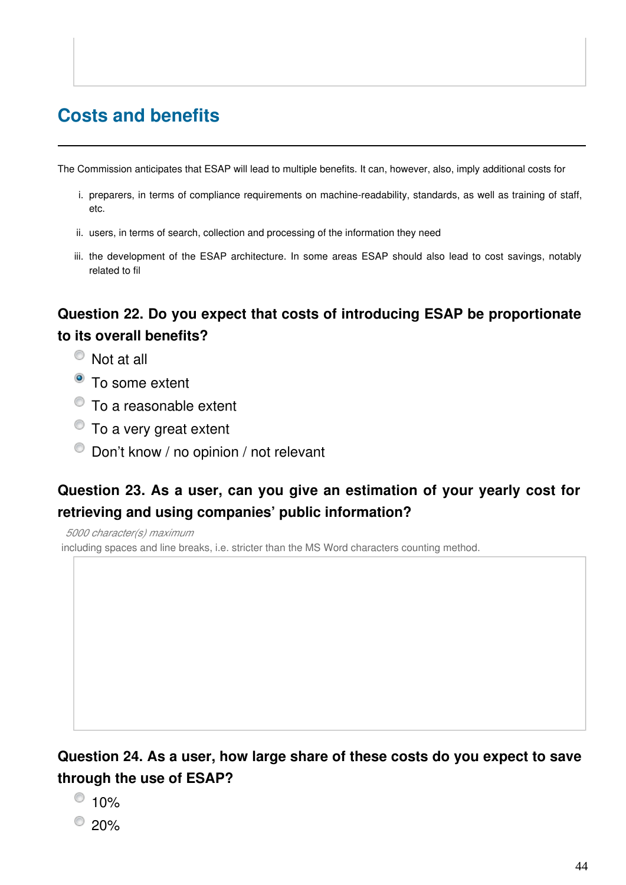# **Costs and benefits**

The Commission anticipates that ESAP will lead to multiple benefits. It can, however, also, imply additional costs for

- i. preparers, in terms of compliance requirements on machine-readability, standards, as well as training of staff, etc.
- ii. users, in terms of search, collection and processing of the information they need
- iii. the development of the ESAP architecture. In some areas ESAP should also lead to cost savings, notably related to fil

#### **Question 22. Do you expect that costs of introducing ESAP be proportionate to its overall benefits?**

- Not at all
- To some extent
- To a reasonable extent
- $\bullet$  To a very great extent
- $\bullet$  Don't know / no opinion / not relevant

#### **Question 23. As a user, can you give an estimation of your yearly cost for retrieving and using companies' public information?**

*5000 character(s) maximum* including spaces and line breaks, i.e. stricter than the MS Word characters counting method.

#### **Question 24. As a user, how large share of these costs do you expect to save through the use of ESAP?**

- $\odot$  10%
- $^{\circ}$  20%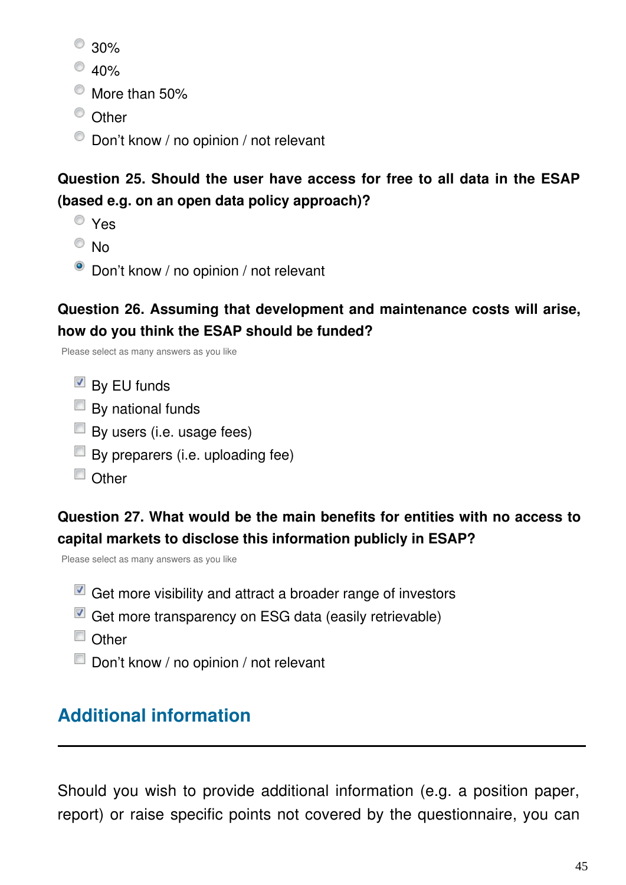- $^{\circ}$  30%
- $^{\circ}$  40%
- $\bullet$  More than 50%
- <sup>O</sup> Other
- $\bullet$  Don't know / no opinion / not relevant

#### **Question 25. Should the user have access for free to all data in the ESAP (based e.g. on an open data policy approach)?**

- Yes
- $\circ$  No
- Don't know / no opinion / not relevant

#### **Question 26. Assuming that development and maintenance costs will arise, how do you think the ESAP should be funded?**

Please select as many answers as you like

- $\blacksquare$  By EU funds
- $\Box$  By national funds
- $\Box$  By users (i.e. usage fees)
- $\Box$  By preparers (i.e. uploading fee)
- $\Box$  Other

## **Question 27. What would be the main benefits for entities with no access to capital markets to disclose this information publicly in ESAP?**

Please select as many answers as you like

- $\blacksquare$  Get more visibility and attract a broader range of investors
- $\blacksquare$  Get more transparency on ESG data (easily retrievable)
- Other
- Don't know / no opinion / not relevant

# **Additional information**

Should you wish to provide additional information (e.g. a position paper, report) or raise specific points not covered by the questionnaire, you can